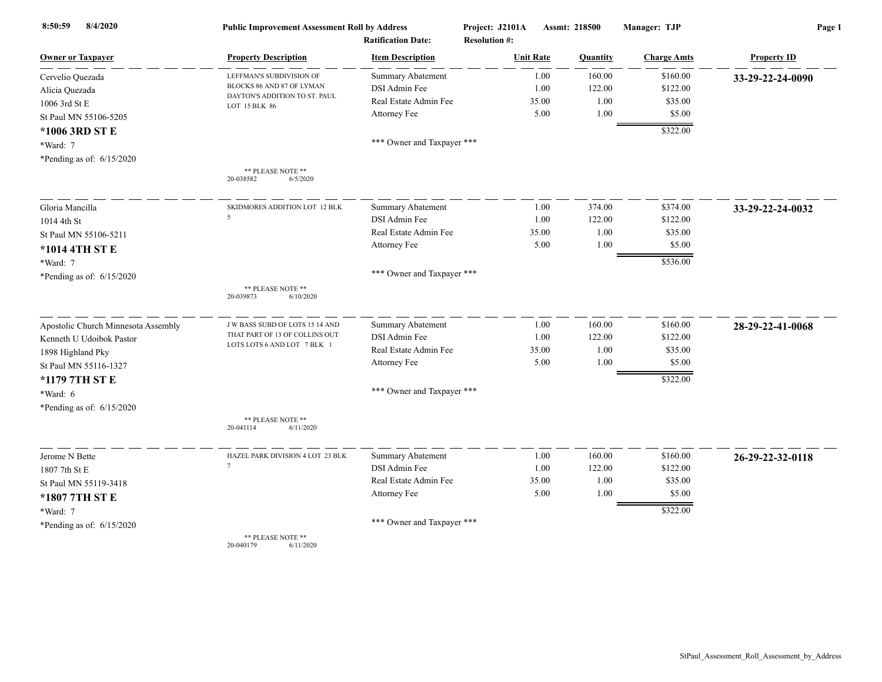| 8/4/2020<br>8:50:59                 | <b>Public Improvement Assessment Roll by Address</b><br><b>Ratification Date:</b> |                            | Project: J2101A<br>Assmt: 218500<br><b>Resolution #:</b> |       | Manager: TJP | Page 1             |                    |
|-------------------------------------|-----------------------------------------------------------------------------------|----------------------------|----------------------------------------------------------|-------|--------------|--------------------|--------------------|
| Owner or Taxpayer                   | <b>Property Description</b>                                                       | <b>Item Description</b>    | <b>Unit Rate</b>                                         |       | Quantity     | <b>Charge Amts</b> | <b>Property ID</b> |
| Cervelio Quezada                    | LEFFMAN'S SUBDIVISION OF                                                          | <b>Summary Abatement</b>   |                                                          | 1.00  | 160.00       | \$160.00           | 33-29-22-24-0090   |
| Alicia Quezada                      | BLOCKS 86 AND 87 OF LYMAN                                                         | DSI Admin Fee              |                                                          | 1.00  | 122.00       | \$122.00           |                    |
| 1006 3rd St E                       | DAYTON'S ADDITION TO ST. PAUL<br>LOT 15 BLK 86                                    | Real Estate Admin Fee      |                                                          | 35.00 | 1.00         | \$35.00            |                    |
| St Paul MN 55106-5205               |                                                                                   | Attorney Fee               |                                                          | 5.00  | 1.00         | \$5.00             |                    |
| *1006 3RD ST E                      |                                                                                   |                            |                                                          |       |              | \$322.00           |                    |
| *Ward: 7                            |                                                                                   | *** Owner and Taxpayer *** |                                                          |       |              |                    |                    |
| *Pending as of: 6/15/2020           |                                                                                   |                            |                                                          |       |              |                    |                    |
|                                     | ** PLEASE NOTE **<br>20-038582<br>6/5/2020                                        |                            |                                                          |       |              |                    |                    |
| Gloria Mancilla                     | SKIDMORES ADDITION LOT 12 BLK                                                     | <b>Summary Abatement</b>   |                                                          | 1.00  | 374.00       | \$374.00           | 33-29-22-24-0032   |
| 1014 4th St                         | 5                                                                                 | DSI Admin Fee              |                                                          | 1.00  | 122.00       | \$122.00           |                    |
| St Paul MN 55106-5211               |                                                                                   | Real Estate Admin Fee      |                                                          | 35.00 | 1.00         | \$35.00            |                    |
| *1014 4TH ST E                      |                                                                                   | Attorney Fee               |                                                          | 5.00  | 1.00         | \$5.00             |                    |
| *Ward: 7                            |                                                                                   |                            |                                                          |       |              | \$536.00           |                    |
| *Pending as of: $6/15/2020$         |                                                                                   | *** Owner and Taxpayer *** |                                                          |       |              |                    |                    |
|                                     | ** PLEASE NOTE **<br>20-039873<br>6/10/2020                                       |                            |                                                          |       |              |                    |                    |
| Apostolic Church Minnesota Assembly | <b>JW BASS SUBD OF LOTS 15 14 AND</b>                                             | <b>Summary Abatement</b>   |                                                          | 1.00  | 160.00       | \$160.00           | 28-29-22-41-0068   |
| Kenneth U Udoibok Pastor            | THAT PART OF 13 OF COLLINS OUT                                                    | DSI Admin Fee              |                                                          | 1.00  | 122.00       | \$122.00           |                    |
| 1898 Highland Pky                   | LOTS LOTS 6 AND LOT 7 BLK 1                                                       | Real Estate Admin Fee      |                                                          | 35.00 | 1.00         | \$35.00            |                    |
| St Paul MN 55116-1327               |                                                                                   | Attorney Fee               |                                                          | 5.00  | 1.00         | \$5.00             |                    |
| *1179 7TH ST E                      |                                                                                   |                            |                                                          |       |              | \$322.00           |                    |
| *Ward: 6                            |                                                                                   | *** Owner and Taxpayer *** |                                                          |       |              |                    |                    |
| *Pending as of: $6/15/2020$         |                                                                                   |                            |                                                          |       |              |                    |                    |
|                                     | ** PLEASE NOTE **<br>20-041114<br>6/11/2020                                       |                            |                                                          |       |              |                    |                    |
| Jerome N Bette                      | HAZEL PARK DIVISION 4 LOT 23 BLK                                                  | <b>Summary Abatement</b>   |                                                          | 1.00  | 160.00       | \$160.00           | 26-29-22-32-0118   |
| 1807 7th St E                       | $\tau$                                                                            | DSI Admin Fee              |                                                          | 1.00  | 122.00       | \$122.00           |                    |
| St Paul MN 55119-3418               |                                                                                   | Real Estate Admin Fee      |                                                          | 35.00 | 1.00         | \$35.00            |                    |
| *1807 7TH ST E                      |                                                                                   | Attorney Fee               |                                                          | 5.00  | 1.00         | \$5.00             |                    |
| *Ward: 7                            |                                                                                   |                            |                                                          |       |              | \$322.00           |                    |
| *Pending as of: $6/15/2020$         |                                                                                   | *** Owner and Taxpayer *** |                                                          |       |              |                    |                    |
|                                     | ** PLEASE NOTE **                                                                 |                            |                                                          |       |              |                    |                    |

20-040179 6/11/2020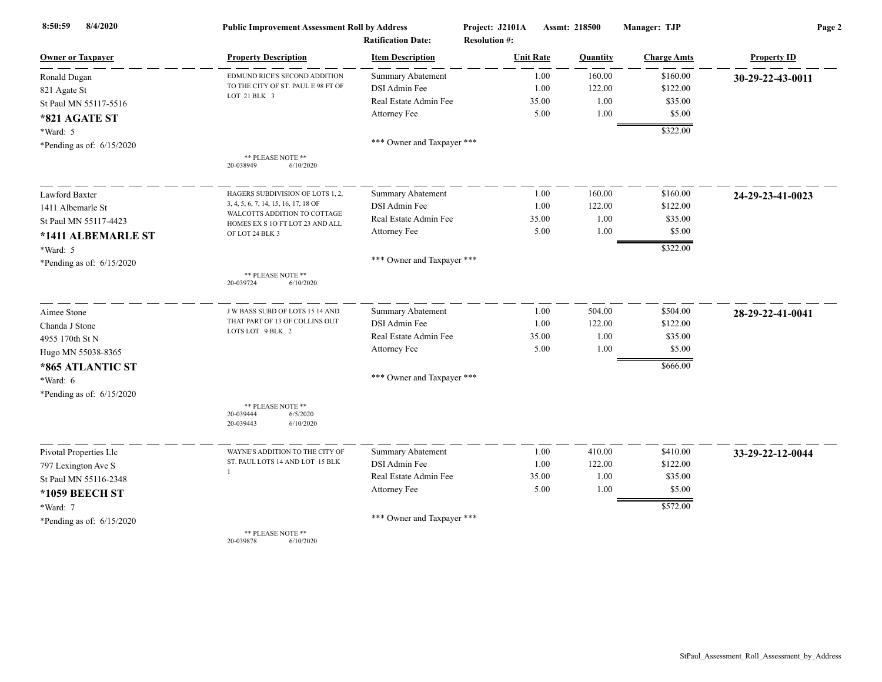| 8/4/2020<br>8:50:59         | <b>Public Improvement Assessment Roll by Address</b><br><b>Ratification Date:</b> |                            | Project: J2101A<br>Assmt: 218500<br><b>Resolution #:</b> |          | Manager: TJP       | Page 2             |  |
|-----------------------------|-----------------------------------------------------------------------------------|----------------------------|----------------------------------------------------------|----------|--------------------|--------------------|--|
| <b>Owner or Taxpayer</b>    | <b>Property Description</b>                                                       | <b>Item Description</b>    | <b>Unit Rate</b>                                         | Quantity | <b>Charge Amts</b> | <b>Property ID</b> |  |
| Ronald Dugan                | EDMUND RICE'S SECOND ADDITION                                                     | <b>Summary Abatement</b>   | 1.00                                                     | 160.00   | \$160.00           | 30-29-22-43-0011   |  |
| 821 Agate St                | TO THE CITY OF ST. PAUL E 98 FT OF                                                | DSI Admin Fee              | 1.00                                                     | 122.00   | \$122.00           |                    |  |
| St Paul MN 55117-5516       | LOT 21 BLK 3                                                                      | Real Estate Admin Fee      | 35.00                                                    | 1.00     | \$35.00            |                    |  |
| *821 AGATE ST               |                                                                                   | Attorney Fee               | 5.00                                                     | 1.00     | \$5.00             |                    |  |
| *Ward: 5                    |                                                                                   |                            |                                                          |          | \$322.00           |                    |  |
| *Pending as of: $6/15/2020$ |                                                                                   | *** Owner and Taxpayer *** |                                                          |          |                    |                    |  |
|                             | ** PLEASE NOTE **<br>20-038949<br>6/10/2020                                       |                            |                                                          |          |                    |                    |  |
| Lawford Baxter              | HAGERS SUBDIVISION OF LOTS 1, 2,                                                  | Summary Abatement          | 1.00                                                     | 160.00   | \$160.00           | 24-29-23-41-0023   |  |
| 1411 Albemarle St           | 3, 4, 5, 6, 7, 14, 15, 16, 17, 18 OF                                              | DSI Admin Fee              | 1.00                                                     | 122.00   | \$122.00           |                    |  |
| St Paul MN 55117-4423       | WALCOTTS ADDITION TO COTTAGE<br>HOMES EX S 1O FT LOT 23 AND ALL                   | Real Estate Admin Fee      | 35.00                                                    | 1.00     | \$35.00            |                    |  |
| *1411 ALBEMARLE ST          | OF LOT 24 BLK 3                                                                   | Attorney Fee               | 5.00                                                     | 1.00     | \$5.00             |                    |  |
| *Ward: 5                    |                                                                                   |                            |                                                          |          | \$322.00           |                    |  |
| *Pending as of: $6/15/2020$ |                                                                                   | *** Owner and Taxpayer *** |                                                          |          |                    |                    |  |
|                             | ** PLEASE NOTE **<br>20-039724<br>6/10/2020                                       |                            |                                                          |          |                    |                    |  |
| Aimee Stone                 | J W BASS SUBD OF LOTS 15 14 AND                                                   | <b>Summary Abatement</b>   | 1.00                                                     | 504.00   | \$504.00           | 28-29-22-41-0041   |  |
| Chanda J Stone              | THAT PART OF 13 OF COLLINS OUT                                                    | DSI Admin Fee              | 1.00                                                     | 122.00   | \$122.00           |                    |  |
| 4955 170th St N             | LOTS LOT 9 BLK 2                                                                  | Real Estate Admin Fee      | 35.00                                                    | 1.00     | \$35.00            |                    |  |
| Hugo MN 55038-8365          |                                                                                   | Attorney Fee               | 5.00                                                     | 1.00     | \$5.00             |                    |  |
| *865 ATLANTIC ST            |                                                                                   |                            |                                                          |          | \$666.00           |                    |  |
| *Ward: 6                    |                                                                                   | *** Owner and Taxpayer *** |                                                          |          |                    |                    |  |
| *Pending as of: $6/15/2020$ |                                                                                   |                            |                                                          |          |                    |                    |  |
|                             | ** PLEASE NOTE **<br>20-039444<br>6/5/2020<br>20-039443<br>6/10/2020              |                            |                                                          |          |                    |                    |  |
| Pivotal Properties Llc      | WAYNE'S ADDITION TO THE CITY OF                                                   | <b>Summary Abatement</b>   | 1.00                                                     | 410.00   | \$410.00           | 33-29-22-12-0044   |  |
| 797 Lexington Ave S         | ST. PAUL LOTS 14 AND LOT 15 BLK                                                   | DSI Admin Fee              | 1.00                                                     | 122.00   | \$122.00           |                    |  |
| St Paul MN 55116-2348       |                                                                                   | Real Estate Admin Fee      | 35.00                                                    | 1.00     | \$35.00            |                    |  |
| *1059 BEECH ST              |                                                                                   | Attorney Fee               | 5.00                                                     | 1.00     | \$5.00             |                    |  |
| *Ward: 7                    |                                                                                   |                            |                                                          |          | \$572.00           |                    |  |
| *Pending as of: $6/15/2020$ |                                                                                   | *** Owner and Taxpayer *** |                                                          |          |                    |                    |  |
|                             | ** PLEASE NOTE **<br>20-039878<br>6/10/2020                                       |                            |                                                          |          |                    |                    |  |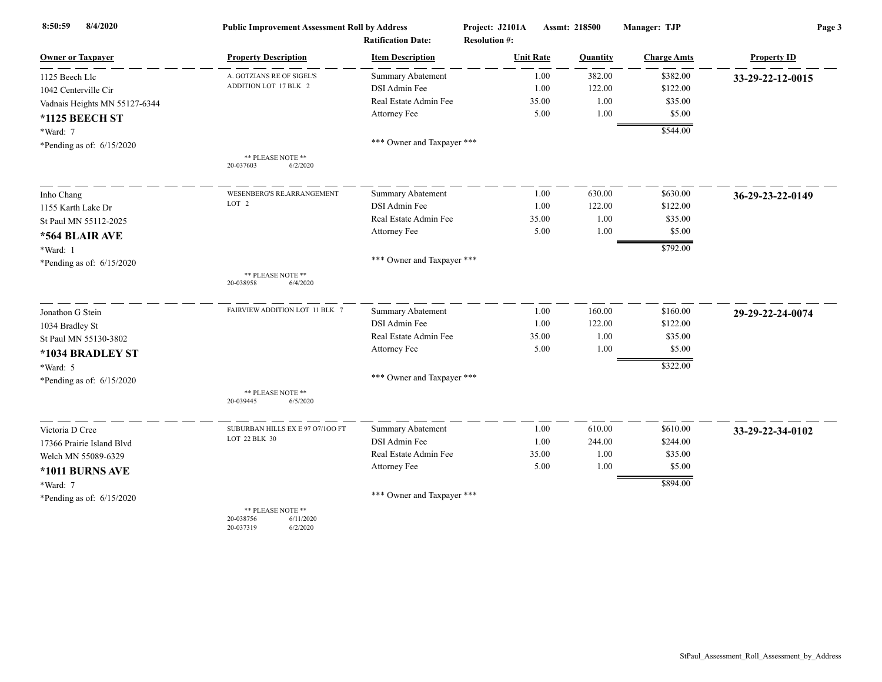| 8/4/2020<br>8:50:59           | <b>Public Improvement Assessment Roll by Address</b>                 |                                                      | Project: J2101A                          | Assmt: 218500 | Manager: TJP       | Page 3             |  |
|-------------------------------|----------------------------------------------------------------------|------------------------------------------------------|------------------------------------------|---------------|--------------------|--------------------|--|
| <b>Owner or Taxpayer</b>      | <b>Property Description</b>                                          | <b>Ratification Date:</b><br><b>Item Description</b> | <b>Resolution #:</b><br><b>Unit Rate</b> | Quantity      | <b>Charge Amts</b> | <b>Property ID</b> |  |
| 1125 Beech Llc                | A. GOTZIANS RE OF SIGEL'S                                            | <b>Summary Abatement</b>                             | 1.00                                     | 382.00        | \$382.00           |                    |  |
|                               | ADDITION LOT 17 BLK 2                                                | DSI Admin Fee                                        | 1.00                                     | 122.00        | \$122.00           | 33-29-22-12-0015   |  |
| 1042 Centerville Cir          |                                                                      | Real Estate Admin Fee                                | 35.00                                    | 1.00          | \$35.00            |                    |  |
| Vadnais Heights MN 55127-6344 |                                                                      | Attorney Fee                                         | 5.00                                     | 1.00          | \$5.00             |                    |  |
| *1125 BEECH ST                |                                                                      |                                                      |                                          |               |                    |                    |  |
| *Ward: 7                      |                                                                      | *** Owner and Taxpayer ***                           |                                          |               | \$544.00           |                    |  |
| *Pending as of: 6/15/2020     |                                                                      |                                                      |                                          |               |                    |                    |  |
|                               | ** PLEASE NOTE **<br>20-037603<br>6/2/2020                           |                                                      |                                          |               |                    |                    |  |
| Inho Chang                    | WESENBERG'S RE.ARRANGEMENT                                           | Summary Abatement                                    | 1.00                                     | 630.00        | \$630.00           | 36-29-23-22-0149   |  |
| 1155 Karth Lake Dr            | LOT <sub>2</sub>                                                     | DSI Admin Fee                                        | 1.00                                     | 122.00        | \$122.00           |                    |  |
| St Paul MN 55112-2025         |                                                                      | Real Estate Admin Fee                                | 35.00                                    | 1.00          | \$35.00            |                    |  |
| *564 BLAIR AVE                |                                                                      | Attorney Fee                                         | 5.00                                     | 1.00          | \$5.00             |                    |  |
| *Ward: 1                      |                                                                      |                                                      |                                          |               | \$792.00           |                    |  |
| *Pending as of: $6/15/2020$   |                                                                      | *** Owner and Taxpayer ***                           |                                          |               |                    |                    |  |
|                               | ** PLEASE NOTE **<br>20-038958<br>6/4/2020                           |                                                      |                                          |               |                    |                    |  |
| Jonathon G Stein              | FAIRVIEW ADDITION LOT 11 BLK 7                                       | <b>Summary Abatement</b>                             | 1.00                                     | 160.00        | \$160.00           | 29-29-22-24-0074   |  |
| 1034 Bradley St               |                                                                      | DSI Admin Fee                                        | 1.00                                     | 122.00        | \$122.00           |                    |  |
| St Paul MN 55130-3802         |                                                                      | Real Estate Admin Fee                                | 35.00                                    | 1.00          | \$35.00            |                    |  |
| *1034 BRADLEY ST              |                                                                      | Attorney Fee                                         | 5.00                                     | 1.00          | \$5.00             |                    |  |
| *Ward: 5                      |                                                                      |                                                      |                                          |               | \$322.00           |                    |  |
| *Pending as of: $6/15/2020$   |                                                                      | *** Owner and Taxpayer ***                           |                                          |               |                    |                    |  |
|                               | ** PLEASE NOTE **<br>6/5/2020<br>20-039445                           |                                                      |                                          |               |                    |                    |  |
| Victoria D Cree               | SUBURBAN HILLS EX E 97 07/100 FT                                     | Summary Abatement                                    | 1.00                                     | 610.00        | \$610.00           | 33-29-22-34-0102   |  |
| 17366 Prairie Island Blvd     | LOT 22 BLK 30                                                        | DSI Admin Fee                                        | 1.00                                     | 244.00        | \$244.00           |                    |  |
| Welch MN 55089-6329           |                                                                      | Real Estate Admin Fee                                | 35.00                                    | 1.00          | \$35.00            |                    |  |
| *1011 BURNS AVE               |                                                                      | Attorney Fee                                         | 5.00                                     | 1.00          | \$5.00             |                    |  |
| *Ward: 7                      |                                                                      |                                                      |                                          |               | \$894.00           |                    |  |
| *Pending as of: $6/15/2020$   |                                                                      | *** Owner and Taxpayer ***                           |                                          |               |                    |                    |  |
|                               | ** PLEASE NOTE **<br>20-038756<br>6/11/2020<br>20-037319<br>6/2/2020 |                                                      |                                          |               |                    |                    |  |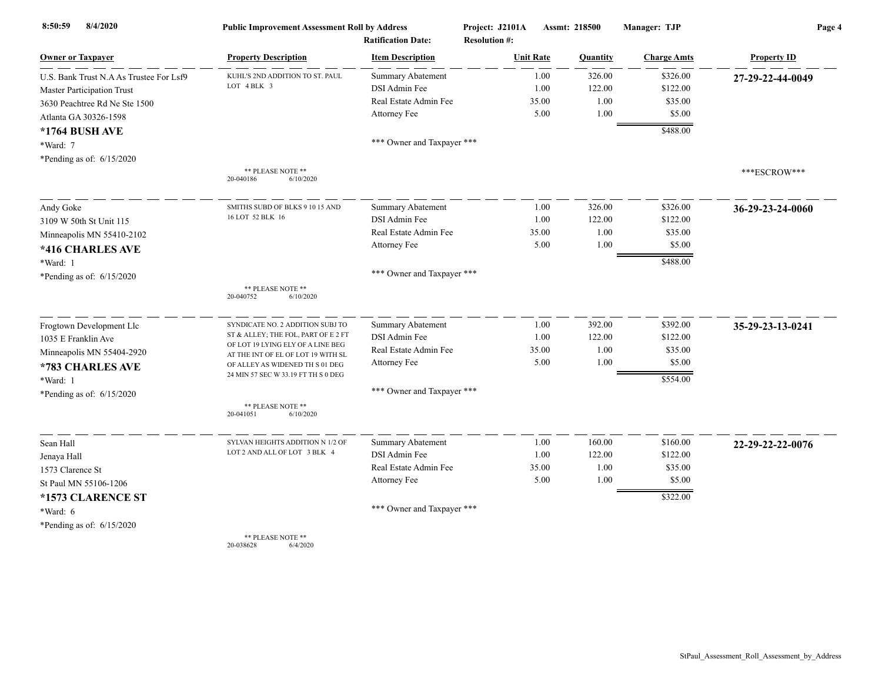| 8/4/2020<br>8:50:59                     | <b>Public Improvement Assessment Roll by Address</b>                    |                            | Project: J2101A      | Assmt: 218500 |          | Manager: TJP       | Page 4             |  |
|-----------------------------------------|-------------------------------------------------------------------------|----------------------------|----------------------|---------------|----------|--------------------|--------------------|--|
|                                         |                                                                         | <b>Ratification Date:</b>  | <b>Resolution #:</b> |               |          |                    |                    |  |
| <b>Owner or Taxpayer</b>                | <b>Property Description</b>                                             | <b>Item Description</b>    | <b>Unit Rate</b>     |               | Quantity | <b>Charge Amts</b> | <b>Property ID</b> |  |
| U.S. Bank Trust N.A As Trustee For Lsf9 | KUHL'S 2ND ADDITION TO ST. PAUL                                         | <b>Summary Abatement</b>   |                      | 1.00          | 326.00   | \$326.00           | 27-29-22-44-0049   |  |
| <b>Master Participation Trust</b>       | LOT 4 BLK 3                                                             | DSI Admin Fee              |                      | 1.00          | 122.00   | \$122.00           |                    |  |
| 3630 Peachtree Rd Ne Ste 1500           |                                                                         | Real Estate Admin Fee      |                      | 35.00         | 1.00     | \$35.00            |                    |  |
| Atlanta GA 30326-1598                   |                                                                         | Attorney Fee               |                      | 5.00          | 1.00     | \$5.00             |                    |  |
| *1764 BUSH AVE                          |                                                                         |                            |                      |               |          | \$488.00           |                    |  |
| *Ward: 7                                |                                                                         | *** Owner and Taxpayer *** |                      |               |          |                    |                    |  |
| *Pending as of: 6/15/2020               |                                                                         |                            |                      |               |          |                    |                    |  |
|                                         | ** PLEASE NOTE **<br>20-040186<br>6/10/2020                             |                            |                      |               |          |                    | ***ESCROW***       |  |
| Andy Goke                               | SMITHS SUBD OF BLKS 9 10 15 AND                                         | <b>Summary Abatement</b>   |                      | 1.00          | 326.00   | \$326.00           | 36-29-23-24-0060   |  |
| 3109 W 50th St Unit 115                 | 16 LOT 52 BLK 16                                                        | DSI Admin Fee              |                      | 1.00          | 122.00   | \$122.00           |                    |  |
| Minneapolis MN 55410-2102               |                                                                         | Real Estate Admin Fee      |                      | 35.00         | 1.00     | \$35.00            |                    |  |
| *416 CHARLES AVE                        |                                                                         | Attorney Fee               |                      | 5.00          | 1.00     | \$5.00             |                    |  |
| *Ward: 1                                |                                                                         |                            |                      |               |          | \$488.00           |                    |  |
| *Pending as of: 6/15/2020               |                                                                         | *** Owner and Taxpayer *** |                      |               |          |                    |                    |  |
|                                         | ** PLEASE NOTE **<br>20-040752<br>6/10/2020                             |                            |                      |               |          |                    |                    |  |
| Frogtown Development Llc                | SYNDICATE NO. 2 ADDITION SUBJ TO                                        | Summary Abatement          |                      | 1.00          | 392.00   | \$392.00           | 35-29-23-13-0241   |  |
| 1035 E Franklin Ave                     | ST & ALLEY; THE FOL, PART OF E 2 FT                                     | DSI Admin Fee              |                      | 1.00          | 122.00   | \$122.00           |                    |  |
| Minneapolis MN 55404-2920               | OF LOT 19 LYING ELY OF A LINE BEG<br>AT THE INT OF EL OF LOT 19 WITH SL | Real Estate Admin Fee      |                      | 35.00         | 1.00     | \$35.00            |                    |  |
| *783 CHARLES AVE                        | OF ALLEY AS WIDENED TH S 01 DEG                                         | Attorney Fee               |                      | 5.00          | 1.00     | \$5.00             |                    |  |
| *Ward: 1                                | 24 MIN 57 SEC W 33.19 FT TH S 0 DEG                                     |                            |                      |               |          | \$554.00           |                    |  |
| *Pending as of: $6/15/2020$             |                                                                         | *** Owner and Taxpayer *** |                      |               |          |                    |                    |  |
|                                         | ** PLEASE NOTE **<br>20-041051<br>6/10/2020                             |                            |                      |               |          |                    |                    |  |
| Sean Hall                               | SYLVAN HEIGHTS ADDITION N 1/2 OF                                        | Summary Abatement          |                      | 1.00          | 160.00   | \$160.00           | 22-29-22-22-0076   |  |
| Jenaya Hall                             | LOT 2 AND ALL OF LOT 3 BLK 4                                            | DSI Admin Fee              |                      | 1.00          | 122.00   | \$122.00           |                    |  |
| 1573 Clarence St                        |                                                                         | Real Estate Admin Fee      |                      | 35.00         | 1.00     | \$35.00            |                    |  |
| St Paul MN 55106-1206                   |                                                                         | Attorney Fee               |                      | 5.00          | 1.00     | \$5.00             |                    |  |
| *1573 CLARENCE ST                       |                                                                         |                            |                      |               |          | \$322.00           |                    |  |
| *Ward: 6                                |                                                                         | *** Owner and Taxpayer *** |                      |               |          |                    |                    |  |
| *Pending as of: $6/15/2020$             |                                                                         |                            |                      |               |          |                    |                    |  |
|                                         | ** PLEASE NOTE **                                                       |                            |                      |               |          |                    |                    |  |

20-038628 6/4/2020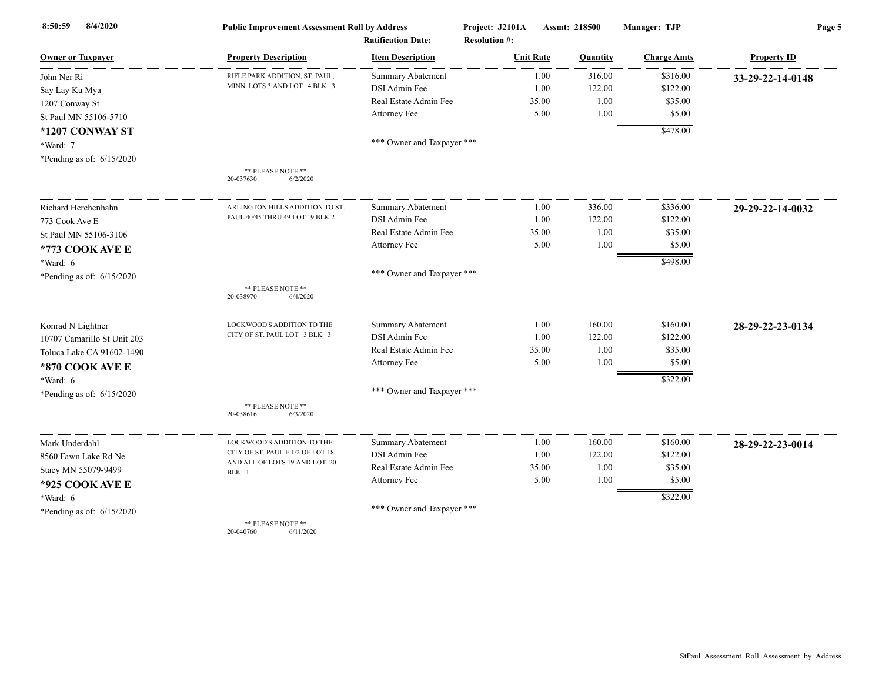| 8/4/2020<br>8:50:59         | <b>Public Improvement Assessment Roll by Address</b><br><b>Ratification Date:</b> |                            | Project: J2101A<br><b>Resolution #:</b> | Assmt: 218500<br>Manager: TJP |                    | Page 5             |  |
|-----------------------------|-----------------------------------------------------------------------------------|----------------------------|-----------------------------------------|-------------------------------|--------------------|--------------------|--|
| <b>Owner or Taxpayer</b>    | <b>Property Description</b>                                                       | <b>Item Description</b>    | <b>Unit Rate</b>                        | Quantity                      | <b>Charge Amts</b> | <b>Property ID</b> |  |
| John Ner Ri                 | RIFLE PARK ADDITION, ST. PAUL,                                                    | <b>Summary Abatement</b>   | 1.00                                    | 316.00                        | \$316.00           | 33-29-22-14-0148   |  |
| Say Lay Ku Mya              | MINN. LOTS 3 AND LOT 4 BLK 3                                                      | DSI Admin Fee              | 1.00                                    | 122.00                        | \$122.00           |                    |  |
| 1207 Conway St              |                                                                                   | Real Estate Admin Fee      | 35.00                                   | 1.00                          | \$35.00            |                    |  |
| St Paul MN 55106-5710       |                                                                                   | Attorney Fee               | 5.00                                    | 1.00                          | \$5.00             |                    |  |
| *1207 CONWAY ST             |                                                                                   |                            |                                         |                               | \$478.00           |                    |  |
| *Ward: 7                    |                                                                                   | *** Owner and Taxpayer *** |                                         |                               |                    |                    |  |
| *Pending as of: $6/15/2020$ |                                                                                   |                            |                                         |                               |                    |                    |  |
|                             | ** PLEASE NOTE **<br>20-037630<br>6/2/2020                                        |                            |                                         |                               |                    |                    |  |
| Richard Herchenhahn         | ARLINGTON HILLS ADDITION TO ST                                                    | Summary Abatement          | 1.00                                    | 336.00                        | \$336.00           | 29-29-22-14-0032   |  |
| 773 Cook Ave E              | PAUL 40/45 THRU 49 LOT 19 BLK 2                                                   | DSI Admin Fee              | 1.00                                    | 122.00                        | \$122.00           |                    |  |
| St Paul MN 55106-3106       |                                                                                   | Real Estate Admin Fee      | 35.00                                   | 1.00                          | \$35.00            |                    |  |
| *773 COOK AVE E             |                                                                                   | Attorney Fee               | 5.00                                    | 1.00                          | \$5.00             |                    |  |
| *Ward: 6                    |                                                                                   |                            |                                         |                               | \$498.00           |                    |  |
| *Pending as of: $6/15/2020$ |                                                                                   | *** Owner and Taxpayer *** |                                         |                               |                    |                    |  |
|                             | ** PLEASE NOTE **<br>20-038970<br>6/4/2020                                        |                            |                                         |                               |                    |                    |  |
| Konrad N Lightner           | LOCKWOOD'S ADDITION TO THE                                                        | <b>Summary Abatement</b>   | 1.00                                    | 160.00                        | \$160.00           | 28-29-22-23-0134   |  |
| 10707 Camarillo St Unit 203 | CITY OF ST. PAUL LOT 3 BLK 3                                                      | DSI Admin Fee              | 1.00                                    | 122.00                        | \$122.00           |                    |  |
| Toluca Lake CA 91602-1490   |                                                                                   | Real Estate Admin Fee      | 35.00                                   | 1.00                          | \$35.00            |                    |  |
| *870 COOK AVE E             |                                                                                   | Attorney Fee               | 5.00                                    | 1.00                          | \$5.00             |                    |  |
| *Ward: 6                    |                                                                                   |                            |                                         |                               | \$322.00           |                    |  |
| *Pending as of: 6/15/2020   |                                                                                   | *** Owner and Taxpayer *** |                                         |                               |                    |                    |  |
|                             | ** PLEASE NOTE **<br>20-038616<br>6/3/2020                                        |                            |                                         |                               |                    |                    |  |
| Mark Underdahl              | LOCKWOOD'S ADDITION TO THE                                                        | <b>Summary Abatement</b>   | 1.00                                    | 160.00                        | \$160.00           | 28-29-22-23-0014   |  |
| 8560 Fawn Lake Rd Ne        | CITY OF ST. PAUL E 1/2 OF LOT 18<br>AND ALL OF LOTS 19 AND LOT 20<br>BLK 1        | DSI Admin Fee              | 1.00                                    | 122.00                        | \$122.00           |                    |  |
| Stacy MN 55079-9499         |                                                                                   | Real Estate Admin Fee      | 35.00                                   | 1.00                          | \$35.00            |                    |  |
| *925 COOK AVE E             |                                                                                   | Attorney Fee               | 5.00                                    | 1.00                          | \$5.00             |                    |  |
| *Ward: 6                    |                                                                                   |                            |                                         |                               | \$322.00           |                    |  |
| *Pending as of: 6/15/2020   |                                                                                   | *** Owner and Taxpayer *** |                                         |                               |                    |                    |  |
|                             | ** PLEASE NOTE **                                                                 |                            |                                         |                               |                    |                    |  |

20-040760 6/11/2020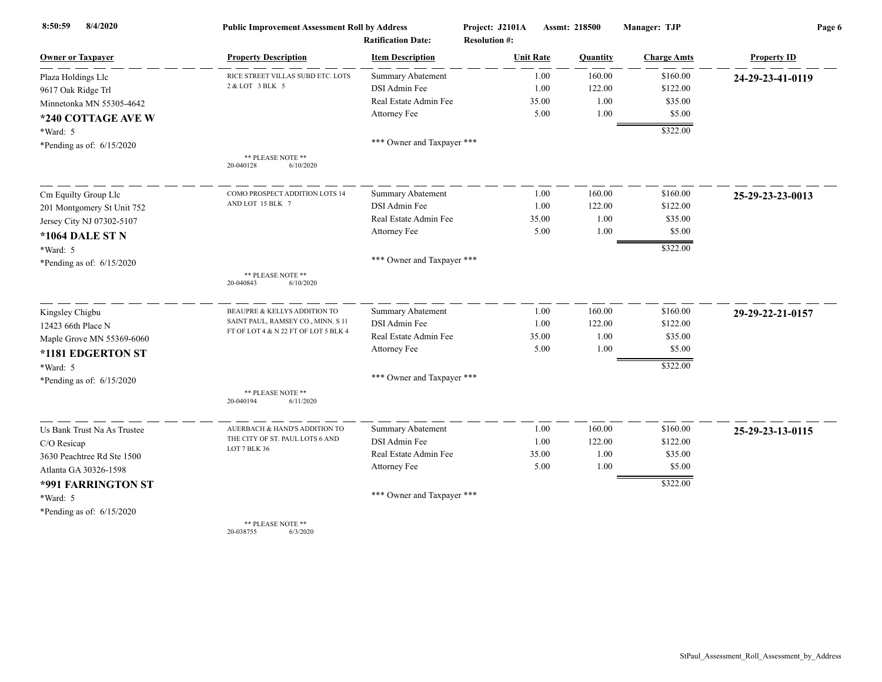| 8/4/2020<br>8:50:59         | <b>Public Improvement Assessment Roll by Address</b> |                                                      | Project: J2101A                          | Assmt: 218500 |          | Manager: TJP       | Page 6             |  |
|-----------------------------|------------------------------------------------------|------------------------------------------------------|------------------------------------------|---------------|----------|--------------------|--------------------|--|
| <b>Owner or Taxpayer</b>    | <b>Property Description</b>                          | <b>Ratification Date:</b><br><b>Item Description</b> | <b>Resolution #:</b><br><b>Unit Rate</b> |               | Quantity | <b>Charge Amts</b> | <b>Property ID</b> |  |
| Plaza Holdings Llc          | RICE STREET VILLAS SUBD ETC. LOTS                    | <b>Summary Abatement</b>                             |                                          | 1.00          | 160.00   | \$160.00           | 24-29-23-41-0119   |  |
| 9617 Oak Ridge Trl          | 2 & LOT 3 BLK 5                                      | DSI Admin Fee                                        |                                          | 1.00          | 122.00   | \$122.00           |                    |  |
| Minnetonka MN 55305-4642    |                                                      | Real Estate Admin Fee                                |                                          | 35.00         | 1.00     | \$35.00            |                    |  |
| *240 COTTAGE AVE W          |                                                      | Attorney Fee                                         |                                          | 5.00          | 1.00     | \$5.00             |                    |  |
| *Ward: 5                    |                                                      |                                                      |                                          |               |          | \$322.00           |                    |  |
| *Pending as of: $6/15/2020$ |                                                      | *** Owner and Taxpayer ***                           |                                          |               |          |                    |                    |  |
|                             | ** PLEASE NOTE **<br>20-040128<br>6/10/2020          |                                                      |                                          |               |          |                    |                    |  |
| Cm Equilty Group Llc        | COMO PROSPECT ADDITION LOTS 14                       | <b>Summary Abatement</b>                             |                                          | 1.00          | 160.00   | \$160.00           | 25-29-23-23-0013   |  |
| 201 Montgomery St Unit 752  | AND LOT 15 BLK 7                                     | DSI Admin Fee                                        |                                          | 1.00          | 122.00   | \$122.00           |                    |  |
| Jersey City NJ 07302-5107   |                                                      | Real Estate Admin Fee                                |                                          | 35.00         | 1.00     | \$35.00            |                    |  |
| <b>*1064 DALE ST N</b>      |                                                      | Attorney Fee                                         |                                          | 5.00          | 1.00     | \$5.00             |                    |  |
| *Ward: 5                    |                                                      |                                                      |                                          |               |          | \$322.00           |                    |  |
| *Pending as of: $6/15/2020$ |                                                      | *** Owner and Taxpayer ***                           |                                          |               |          |                    |                    |  |
|                             | ** PLEASE NOTE **<br>20-040843<br>6/10/2020          |                                                      |                                          |               |          |                    |                    |  |
| Kingsley Chigbu             | BEAUPRE & KELLYS ADDITION TO                         | Summary Abatement                                    |                                          | 1.00          | 160.00   | \$160.00           | 29-29-22-21-0157   |  |
| 12423 66th Place N          | SAINT PAUL, RAMSEY CO., MINN. S 11                   | DSI Admin Fee                                        |                                          | 1.00          | 122.00   | \$122.00           |                    |  |
| Maple Grove MN 55369-6060   | FT OF LOT 4 & N 22 FT OF LOT 5 BLK 4                 | Real Estate Admin Fee                                |                                          | 35.00         | 1.00     | \$35.00            |                    |  |
| *1181 EDGERTON ST           |                                                      | Attorney Fee                                         |                                          | 5.00          | 1.00     | \$5.00             |                    |  |
| *Ward: 5                    |                                                      |                                                      |                                          |               |          | \$322.00           |                    |  |
| *Pending as of: 6/15/2020   |                                                      | *** Owner and Taxpayer ***                           |                                          |               |          |                    |                    |  |
|                             | ** PLEASE NOTE **<br>20-040194<br>6/11/2020          |                                                      |                                          |               |          |                    |                    |  |
| Us Bank Trust Na As Trustee | AUERBACH & HAND'S ADDITION TO                        | <b>Summary Abatement</b>                             |                                          | 1.00          | 160.00   | \$160.00           | 25-29-23-13-0115   |  |
| C/O Resicap                 | THE CITY OF ST. PAUL LOTS 6 AND                      | DSI Admin Fee                                        |                                          | 1.00          | 122.00   | \$122.00           |                    |  |
| 3630 Peachtree Rd Ste 1500  | LOT 7 BLK 36                                         | Real Estate Admin Fee                                |                                          | 35.00         | 1.00     | \$35.00            |                    |  |
| Atlanta GA 30326-1598       |                                                      | Attorney Fee                                         |                                          | 5.00          | 1.00     | \$5.00             |                    |  |
| *991 FARRINGTON ST          |                                                      |                                                      |                                          |               |          | \$322.00           |                    |  |
| *Ward: 5                    |                                                      | *** Owner and Taxpayer ***                           |                                          |               |          |                    |                    |  |
| *Pending as of: $6/15/2020$ |                                                      |                                                      |                                          |               |          |                    |                    |  |
|                             | ** PLEASE NOTE **                                    |                                                      |                                          |               |          |                    |                    |  |

20-038755 6/3/2020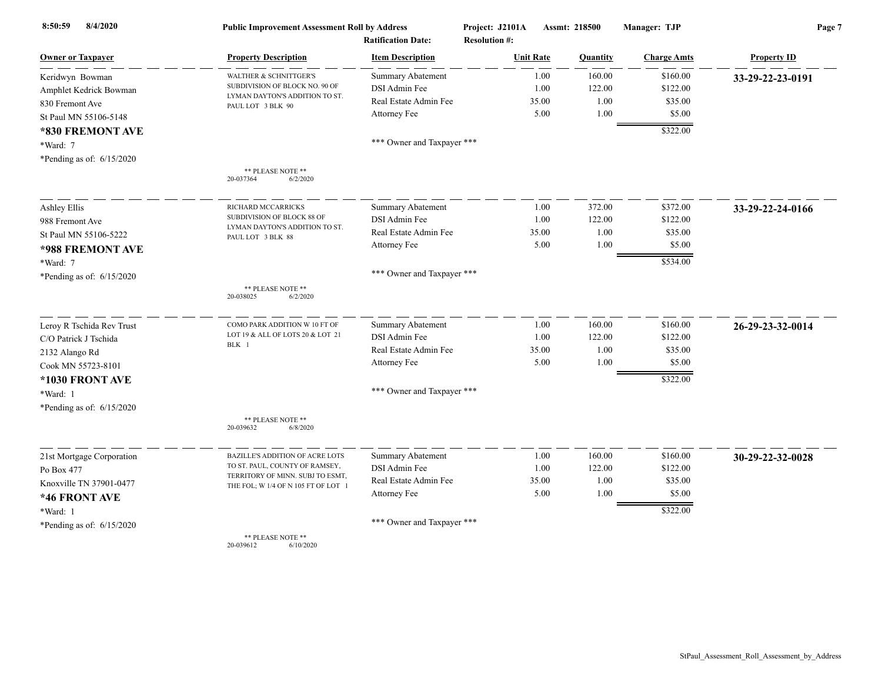| 8/4/2020<br>8:50:59         | <b>Public Improvement Assessment Roll by Address</b><br><b>Ratification Date:</b> |                            | Project: J2101A<br><b>Resolution #:</b> | Assmt: 218500 |                    | Page 7             |  |
|-----------------------------|-----------------------------------------------------------------------------------|----------------------------|-----------------------------------------|---------------|--------------------|--------------------|--|
| <b>Owner or Taxpayer</b>    | <b>Property Description</b>                                                       | <b>Item Description</b>    | <b>Unit Rate</b>                        | Quantity      | <b>Charge Amts</b> | <b>Property ID</b> |  |
| Keridwyn Bowman             | WALTHER & SCHNITTGER'S                                                            | Summary Abatement          | 1.00                                    | 160.00        | \$160.00           | 33-29-22-23-0191   |  |
| Amphlet Kedrick Bowman      | SUBDIVISION OF BLOCK NO. 90 OF                                                    | DSI Admin Fee              | 1.00                                    | 122.00        | \$122.00           |                    |  |
| 830 Fremont Ave             | LYMAN DAYTON'S ADDITION TO ST.<br>PAUL LOT 3 BLK 90                               | Real Estate Admin Fee      | 35.00                                   | 1.00          | \$35.00            |                    |  |
| St Paul MN 55106-5148       |                                                                                   | Attorney Fee               | 5.00                                    | 1.00          | \$5.00             |                    |  |
| *830 FREMONT AVE            |                                                                                   |                            |                                         |               | \$322.00           |                    |  |
| *Ward: 7                    |                                                                                   | *** Owner and Taxpayer *** |                                         |               |                    |                    |  |
| *Pending as of: $6/15/2020$ |                                                                                   |                            |                                         |               |                    |                    |  |
|                             | ** PLEASE NOTE **<br>20-037364<br>6/2/2020                                        |                            |                                         |               |                    |                    |  |
| <b>Ashley Ellis</b>         | RICHARD MCCARRICKS                                                                | <b>Summary Abatement</b>   | 1.00                                    | 372.00        | \$372.00           | 33-29-22-24-0166   |  |
| 988 Fremont Ave             | SUBDIVISION OF BLOCK 88 OF                                                        | DSI Admin Fee              | 1.00                                    | 122.00        | \$122.00           |                    |  |
| St Paul MN 55106-5222       | LYMAN DAYTON'S ADDITION TO ST.<br>PAUL LOT 3 BLK 88                               | Real Estate Admin Fee      | 35.00                                   | 1.00          | \$35.00            |                    |  |
| *988 FREMONT AVE            |                                                                                   | Attorney Fee               | 5.00                                    | 1.00          | \$5.00             |                    |  |
| *Ward: 7                    |                                                                                   |                            |                                         |               | \$534.00           |                    |  |
| *Pending as of: $6/15/2020$ |                                                                                   | *** Owner and Taxpayer *** |                                         |               |                    |                    |  |
|                             | ** PLEASE NOTE **<br>20-038025<br>6/2/2020                                        |                            |                                         |               |                    |                    |  |
| Leroy R Tschida Rev Trust   | COMO PARK ADDITION W 10 FT OF                                                     | <b>Summary Abatement</b>   | 1.00                                    | 160.00        | \$160.00           | 26-29-23-32-0014   |  |
| C/O Patrick J Tschida       | LOT 19 & ALL OF LOTS 20 & LOT 21                                                  | DSI Admin Fee              | 1.00                                    | 122.00        | \$122.00           |                    |  |
| 2132 Alango Rd              | BLK 1                                                                             | Real Estate Admin Fee      | 35.00                                   | 1.00          | \$35.00            |                    |  |
| Cook MN 55723-8101          |                                                                                   | Attorney Fee               | 5.00                                    | 1.00          | \$5.00             |                    |  |
| *1030 FRONT AVE             |                                                                                   |                            |                                         |               | \$322.00           |                    |  |
| *Ward: 1                    |                                                                                   | *** Owner and Taxpayer *** |                                         |               |                    |                    |  |
| *Pending as of: $6/15/2020$ |                                                                                   |                            |                                         |               |                    |                    |  |
|                             | ** PLEASE NOTE **<br>20-039632<br>6/8/2020                                        |                            |                                         |               |                    |                    |  |
| 21st Mortgage Corporation   | BAZILLE'S ADDITION OF ACRE LOTS                                                   | Summary Abatement          | 1.00                                    | 160.00        | \$160.00           | 30-29-22-32-0028   |  |
| Po Box 477                  | TO ST. PAUL, COUNTY OF RAMSEY,                                                    | DSI Admin Fee              | 1.00                                    | 122.00        | \$122.00           |                    |  |
| Knoxville TN 37901-0477     | TERRITORY OF MINN. SUBJ TO ESMT,<br>THE FOL; W 1/4 OF N 105 FT OF LOT 1           | Real Estate Admin Fee      | 35.00                                   | 1.00          | \$35.00            |                    |  |
| *46 FRONT AVE               |                                                                                   | Attorney Fee               | 5.00                                    | 1.00          | \$5.00             |                    |  |
| *Ward: 1                    |                                                                                   |                            |                                         |               | \$322.00           |                    |  |
| *Pending as of: $6/15/2020$ |                                                                                   | *** Owner and Taxpayer *** |                                         |               |                    |                    |  |
|                             | ** PLEASE NOTE **<br>20-039612<br>6/10/2020                                       |                            |                                         |               |                    |                    |  |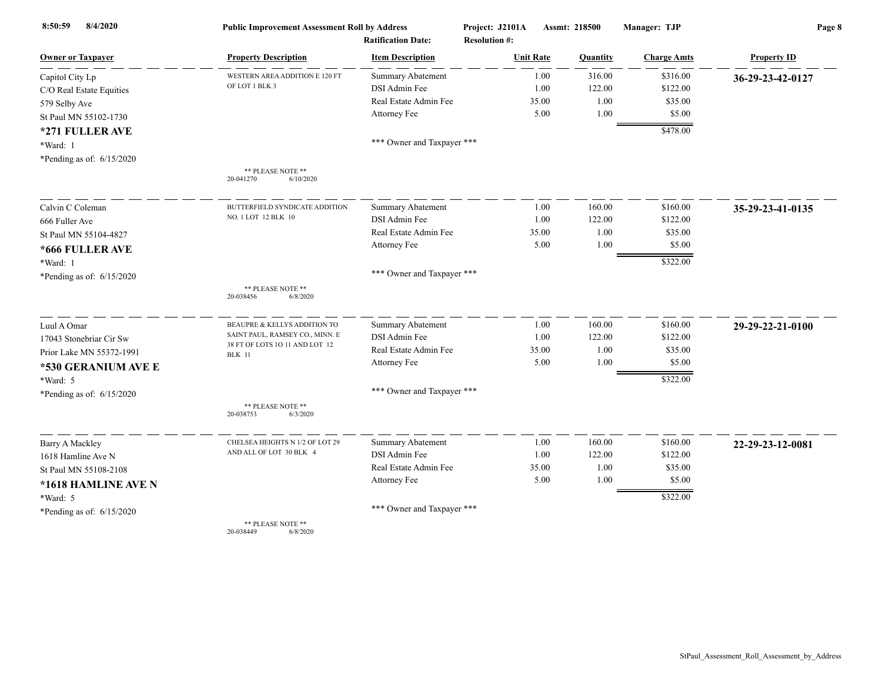| 8/4/2020<br>8:50:59         | <b>Public Improvement Assessment Roll by Address</b> |                            | Project: J2101A      | Assmt: 218500 |          | Manager: TJP       | Page 8             |  |
|-----------------------------|------------------------------------------------------|----------------------------|----------------------|---------------|----------|--------------------|--------------------|--|
|                             |                                                      | <b>Ratification Date:</b>  | <b>Resolution #:</b> |               |          |                    |                    |  |
| <b>Owner or Taxpaver</b>    | <b>Property Description</b>                          | <b>Item Description</b>    | <b>Unit Rate</b>     |               | Quantity | <b>Charge Amts</b> | <b>Property ID</b> |  |
| Capitol City Lp             | WESTERN AREA ADDITION E 120 FT                       | <b>Summary Abatement</b>   |                      | 1.00          | 316.00   | \$316.00           | 36-29-23-42-0127   |  |
| C/O Real Estate Equities    | OF LOT 1 BLK 3                                       | DSI Admin Fee              |                      | 1.00          | 122.00   | \$122.00           |                    |  |
| 579 Selby Ave               |                                                      | Real Estate Admin Fee      |                      | 35.00         | 1.00     | \$35.00            |                    |  |
| St Paul MN 55102-1730       |                                                      | Attorney Fee               |                      | 5.00          | 1.00     | \$5.00             |                    |  |
| *271 FULLER AVE             |                                                      |                            |                      |               |          | \$478.00           |                    |  |
| *Ward: 1                    |                                                      | *** Owner and Taxpayer *** |                      |               |          |                    |                    |  |
| *Pending as of: $6/15/2020$ |                                                      |                            |                      |               |          |                    |                    |  |
|                             | ** PLEASE NOTE **<br>20-041270<br>6/10/2020          |                            |                      |               |          |                    |                    |  |
| Calvin C Coleman            | BUTTERFIELD SYNDICATE ADDITION                       | Summary Abatement          |                      | 1.00          | 160.00   | \$160.00           | 35-29-23-41-0135   |  |
| 666 Fuller Ave              | NO. 1 LOT 12 BLK 10                                  | DSI Admin Fee              |                      | 1.00          | 122.00   | \$122.00           |                    |  |
| St Paul MN 55104-4827       |                                                      | Real Estate Admin Fee      |                      | 35.00         | 1.00     | \$35.00            |                    |  |
| *666 FULLER AVE             |                                                      | Attorney Fee               |                      | 5.00          | 1.00     | \$5.00             |                    |  |
| *Ward: 1                    |                                                      |                            |                      |               |          | \$322.00           |                    |  |
| *Pending as of: 6/15/2020   |                                                      | *** Owner and Taxpayer *** |                      |               |          |                    |                    |  |
|                             | ** PLEASE NOTE **<br>20-038456<br>6/8/2020           |                            |                      |               |          |                    |                    |  |
| Luul A Omar                 | BEAUPRE & KELLYS ADDITION TO                         | Summary Abatement          |                      | 1.00          | 160.00   | \$160.00           | 29-29-22-21-0100   |  |
| 17043 Stonebriar Cir Sw     | SAINT PAUL, RAMSEY CO., MINN. E                      | DSI Admin Fee              |                      | 1.00          | 122.00   | \$122.00           |                    |  |
| Prior Lake MN 55372-1991    | 38 FT OF LOTS 10 11 AND LOT 12<br><b>BLK</b> 11      | Real Estate Admin Fee      |                      | 35.00         | 1.00     | \$35.00            |                    |  |
| *530 GERANIUM AVE E         |                                                      | Attorney Fee               |                      | 5.00          | 1.00     | \$5.00             |                    |  |
| *Ward: 5                    |                                                      |                            |                      |               |          | \$322.00           |                    |  |
| *Pending as of: 6/15/2020   |                                                      | *** Owner and Taxpayer *** |                      |               |          |                    |                    |  |
|                             | ** PLEASE NOTE **<br>20-038753<br>6/3/2020           |                            |                      |               |          |                    |                    |  |
| Barry A Mackley             | CHELSEA HEIGHTS N 1/2 OF LOT 29                      | <b>Summary Abatement</b>   |                      | 1.00          | 160.00   | \$160.00           | 22-29-23-12-0081   |  |
| 1618 Hamline Ave N          | AND ALL OF LOT 30 BLK 4                              | DSI Admin Fee              |                      | 1.00          | 122.00   | \$122.00           |                    |  |
| St Paul MN 55108-2108       |                                                      | Real Estate Admin Fee      |                      | 35.00         | 1.00     | \$35.00            |                    |  |
| *1618 HAMLINE AVE N         |                                                      | Attorney Fee               |                      | 5.00          | 1.00     | \$5.00             |                    |  |
| *Ward: 5                    |                                                      |                            |                      |               |          | \$322.00           |                    |  |
| *Pending as of: $6/15/2020$ |                                                      | *** Owner and Taxpayer *** |                      |               |          |                    |                    |  |
|                             | ** PLEASE NOTE **                                    |                            |                      |               |          |                    |                    |  |

20-038449 6/8/2020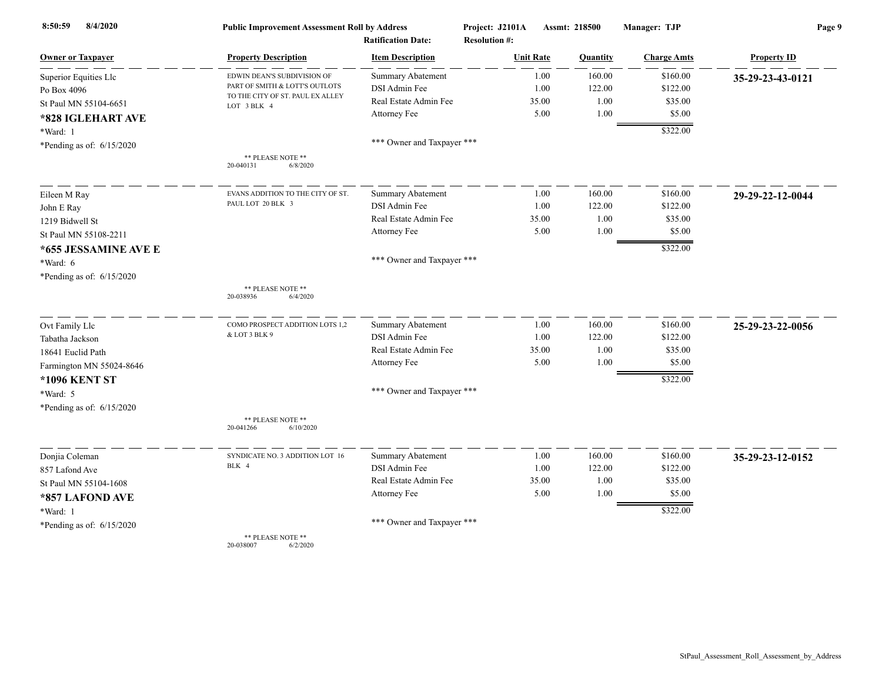| 8:50:59<br>8/4/2020         | <b>Public Improvement Assessment Roll by Address</b><br><b>Ratification Date:</b> |                            | Project: J2101A<br><b>Resolution #:</b> | Assmt: 218500 |                    | Page 9             |  |
|-----------------------------|-----------------------------------------------------------------------------------|----------------------------|-----------------------------------------|---------------|--------------------|--------------------|--|
| <b>Owner or Taxpayer</b>    | <b>Property Description</b>                                                       | <b>Item Description</b>    | <b>Unit Rate</b>                        | Quantity      | <b>Charge Amts</b> | <b>Property ID</b> |  |
| Superior Equities Llc       | EDWIN DEAN'S SUBDIVISION OF                                                       | Summary Abatement          | 1.00                                    | 160.00        | \$160.00           | 35-29-23-43-0121   |  |
| Po Box 4096                 | PART OF SMITH & LOTT'S OUTLOTS                                                    | DSI Admin Fee              | 1.00                                    | 122.00        | \$122.00           |                    |  |
| St Paul MN 55104-6651       | TO THE CITY OF ST. PAUL EX ALLEY<br>LOT 3 BLK 4                                   | Real Estate Admin Fee      | 35.00                                   | 1.00          | \$35.00            |                    |  |
| *828 IGLEHART AVE           |                                                                                   | Attorney Fee               | 5.00                                    | 1.00          | \$5.00             |                    |  |
| *Ward: 1                    |                                                                                   |                            |                                         |               | \$322.00           |                    |  |
| *Pending as of: $6/15/2020$ |                                                                                   | *** Owner and Taxpayer *** |                                         |               |                    |                    |  |
|                             | ** PLEASE NOTE **<br>20-040131<br>6/8/2020                                        |                            |                                         |               |                    |                    |  |
| Eileen M Ray                | EVANS ADDITION TO THE CITY OF ST.                                                 | Summary Abatement          | 1.00                                    | 160.00        | \$160.00           | 29-29-22-12-0044   |  |
| John E Ray                  | PAUL LOT 20 BLK 3                                                                 | DSI Admin Fee              | 1.00                                    | 122.00        | \$122.00           |                    |  |
| 1219 Bidwell St             |                                                                                   | Real Estate Admin Fee      | 35.00                                   | 1.00          | \$35.00            |                    |  |
| St Paul MN 55108-2211       |                                                                                   | Attorney Fee               | 5.00                                    | 1.00          | \$5.00             |                    |  |
| *655 JESSAMINE AVE E        |                                                                                   |                            |                                         |               | \$322.00           |                    |  |
| *Ward: 6                    |                                                                                   | *** Owner and Taxpayer *** |                                         |               |                    |                    |  |
| *Pending as of: $6/15/2020$ |                                                                                   |                            |                                         |               |                    |                    |  |
|                             | ** PLEASE NOTE **<br>20-038936<br>6/4/2020                                        |                            |                                         |               |                    |                    |  |
| Ovt Family Llc              | COMO PROSPECT ADDITION LOTS 1,2                                                   | <b>Summary Abatement</b>   | 1.00                                    | 160.00        | \$160.00           | 25-29-23-22-0056   |  |
| Tabatha Jackson             | & LOT 3 BLK 9                                                                     | DSI Admin Fee              | 1.00                                    | 122.00        | \$122.00           |                    |  |
| 18641 Euclid Path           |                                                                                   | Real Estate Admin Fee      | 35.00                                   | 1.00          | \$35.00            |                    |  |
| Farmington MN 55024-8646    |                                                                                   | Attorney Fee               | 5.00                                    | 1.00          | \$5.00             |                    |  |
| <b>*1096 KENT ST</b>        |                                                                                   |                            |                                         |               | \$322.00           |                    |  |
| *Ward: 5                    |                                                                                   | *** Owner and Taxpayer *** |                                         |               |                    |                    |  |
| *Pending as of: $6/15/2020$ |                                                                                   |                            |                                         |               |                    |                    |  |
|                             | ** PLEASE NOTE **<br>20-041266<br>6/10/2020                                       |                            |                                         |               |                    |                    |  |
| Donjia Coleman              | SYNDICATE NO. 3 ADDITION LOT 16                                                   | Summary Abatement          | 1.00                                    | 160.00        | \$160.00           | 35-29-23-12-0152   |  |
| 857 Lafond Ave              | BLK 4                                                                             | <b>DSI</b> Admin Fee       | 1.00                                    | 122.00        | \$122.00           |                    |  |
| St Paul MN 55104-1608       |                                                                                   | Real Estate Admin Fee      | 35.00                                   | 1.00          | \$35.00            |                    |  |
| *857 LAFOND AVE             |                                                                                   | Attorney Fee               | 5.00                                    | 1.00          | \$5.00             |                    |  |
| *Ward: 1                    |                                                                                   |                            |                                         |               | \$322.00           |                    |  |
| *Pending as of: $6/15/2020$ |                                                                                   | *** Owner and Taxpayer *** |                                         |               |                    |                    |  |
|                             | ** PLEASE NOTE **                                                                 |                            |                                         |               |                    |                    |  |

20-038007 6/2/2020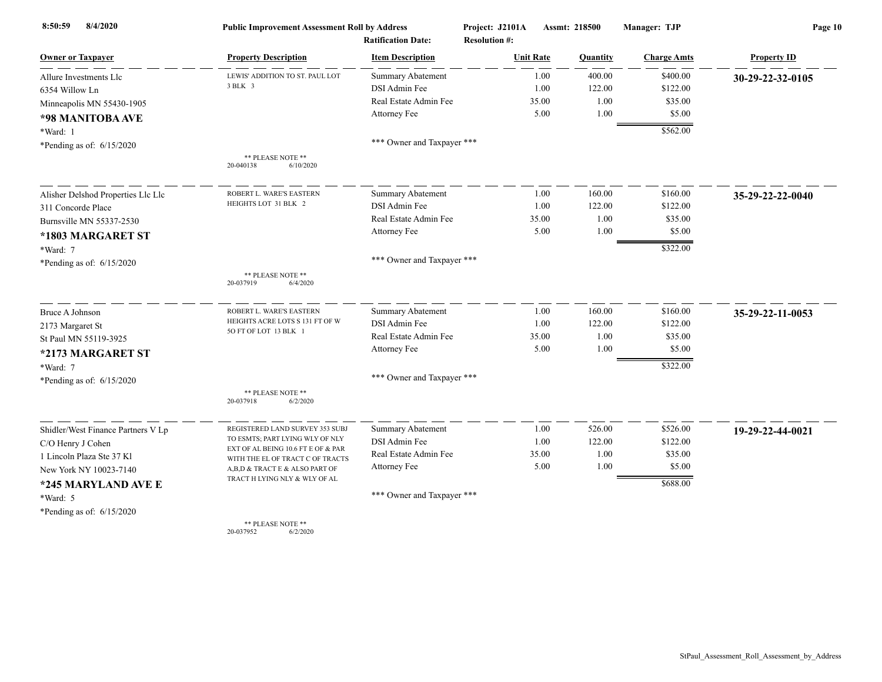| 8/4/2020<br>8:50:59                | <b>Public Improvement Assessment Roll by Address</b>                   |                                                      | Project: J2101A<br><b>Assmt: 218500</b><br><b>Resolution #:</b> |          | Manager: TJP       | Page 10            |  |
|------------------------------------|------------------------------------------------------------------------|------------------------------------------------------|-----------------------------------------------------------------|----------|--------------------|--------------------|--|
| <b>Owner or Taxpayer</b>           | <b>Property Description</b>                                            | <b>Ratification Date:</b><br><b>Item Description</b> | <b>Unit Rate</b>                                                | Quantity | <b>Charge Amts</b> | <b>Property ID</b> |  |
| Allure Investments Llc             | LEWIS' ADDITION TO ST. PAUL LOT                                        | <b>Summary Abatement</b>                             | 1.00                                                            | 400.00   | \$400.00           | 30-29-22-32-0105   |  |
| 6354 Willow Ln                     | 3 BLK 3                                                                | DSI Admin Fee                                        | 1.00                                                            | 122.00   | \$122.00           |                    |  |
| Minneapolis MN 55430-1905          |                                                                        | Real Estate Admin Fee                                | 35.00                                                           | 1.00     | \$35.00            |                    |  |
| *98 MANITOBA AVE                   |                                                                        | Attorney Fee                                         | 5.00                                                            | 1.00     | \$5.00             |                    |  |
| *Ward: 1                           |                                                                        |                                                      |                                                                 |          | \$562.00           |                    |  |
| *Pending as of: $6/15/2020$        |                                                                        | *** Owner and Taxpayer ***                           |                                                                 |          |                    |                    |  |
|                                    | ** PLEASE NOTE **<br>20-040138<br>6/10/2020                            |                                                      |                                                                 |          |                    |                    |  |
| Alisher Delshod Properties Llc Llc | ROBERT L. WARE'S EASTERN                                               | <b>Summary Abatement</b>                             | 1.00                                                            | 160.00   | \$160.00           | 35-29-22-22-0040   |  |
| 311 Concorde Place                 | HEIGHTS LOT 31 BLK 2                                                   | DSI Admin Fee                                        | 1.00                                                            | 122.00   | \$122.00           |                    |  |
| Burnsville MN 55337-2530           |                                                                        | Real Estate Admin Fee                                | 35.00                                                           | 1.00     | \$35.00            |                    |  |
| *1803 MARGARET ST                  |                                                                        | Attorney Fee                                         | 5.00                                                            | 1.00     | \$5.00             |                    |  |
| *Ward: 7                           |                                                                        |                                                      |                                                                 |          | \$322.00           |                    |  |
| *Pending as of: $6/15/2020$        |                                                                        | *** Owner and Taxpayer ***                           |                                                                 |          |                    |                    |  |
|                                    | ** PLEASE NOTE **<br>20-037919<br>6/4/2020                             |                                                      |                                                                 |          |                    |                    |  |
| <b>Bruce A Johnson</b>             | ROBERT L. WARE'S EASTERN                                               | <b>Summary Abatement</b>                             | 1.00                                                            | 160.00   | \$160.00           | 35-29-22-11-0053   |  |
| 2173 Margaret St                   | HEIGHTS ACRE LOTS S 131 FT OF W                                        | DSI Admin Fee                                        | 1.00                                                            | 122.00   | \$122.00           |                    |  |
| St Paul MN 55119-3925              | 5O FT OF LOT 13 BLK 1                                                  | Real Estate Admin Fee                                | 35.00                                                           | 1.00     | \$35.00            |                    |  |
| *2173 MARGARET ST                  |                                                                        | <b>Attorney Fee</b>                                  | 5.00                                                            | 1.00     | \$5.00             |                    |  |
| *Ward: 7                           |                                                                        |                                                      |                                                                 |          | \$322.00           |                    |  |
| *Pending as of: $6/15/2020$        |                                                                        | *** Owner and Taxpayer ***                           |                                                                 |          |                    |                    |  |
|                                    | ** PLEASE NOTE **<br>20-037918<br>6/2/2020                             |                                                      |                                                                 |          |                    |                    |  |
| Shidler/West Finance Partners V Lp | REGISTERED LAND SURVEY 353 SUBJ                                        | <b>Summary Abatement</b>                             | 1.00                                                            | 526.00   | \$526.00           | 19-29-22-44-0021   |  |
| C/O Henry J Cohen                  | TO ESMTS; PART LYING WLY OF NLY                                        | DSI Admin Fee                                        | 1.00                                                            | 122.00   | \$122.00           |                    |  |
| 1 Lincoln Plaza Ste 37 Kl          | EXT OF AL BEING 10.6 FT E OF & PAR<br>WITH THE EL OF TRACT C OF TRACTS | Real Estate Admin Fee                                | 35.00                                                           | 1.00     | \$35.00            |                    |  |
| New York NY 10023-7140             | A,B,D & TRACT E & ALSO PART OF                                         | <b>Attorney Fee</b>                                  | 5.00                                                            | 1.00     | \$5.00             |                    |  |
| *245 MARYLAND AVE E                | TRACT H LYING NLY & WLY OF AL                                          |                                                      |                                                                 |          | \$688.00           |                    |  |
| *Ward: 5                           |                                                                        | *** Owner and Taxpayer ***                           |                                                                 |          |                    |                    |  |
| *Pending as of: $6/15/2020$        |                                                                        |                                                      |                                                                 |          |                    |                    |  |
|                                    | ** PLEASE NOTE **                                                      |                                                      |                                                                 |          |                    |                    |  |

20-037952 6/2/2020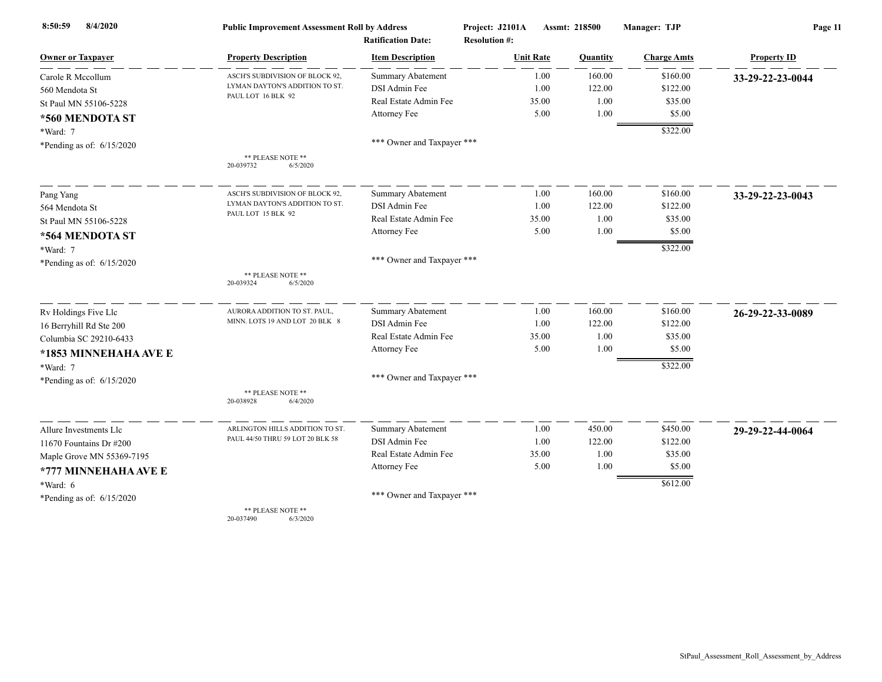| 8/4/2020<br>8:50:59         | <b>Public Improvement Assessment Roll by Address</b> |                            | Project: J2101A      | Assmt: 218500 | Manager: TJP       | Page 11            |  |
|-----------------------------|------------------------------------------------------|----------------------------|----------------------|---------------|--------------------|--------------------|--|
|                             |                                                      | <b>Ratification Date:</b>  | <b>Resolution #:</b> |               |                    |                    |  |
| <b>Owner or Taxpayer</b>    | <b>Property Description</b>                          | <b>Item Description</b>    | <b>Unit Rate</b>     | Quantity      | <b>Charge Amts</b> | <b>Property ID</b> |  |
| Carole R Mccollum           | ASCH'S SUBDIVISION OF BLOCK 92,                      | <b>Summary Abatement</b>   | 1.00                 | 160.00        | \$160.00           | 33-29-22-23-0044   |  |
| 560 Mendota St              | LYMAN DAYTON'S ADDITION TO ST.<br>PAUL LOT 16 BLK 92 | DSI Admin Fee              | 1.00                 | 122.00        | \$122.00           |                    |  |
| St Paul MN 55106-5228       |                                                      | Real Estate Admin Fee      | 35.00                | 1.00          | \$35.00            |                    |  |
| *560 MENDOTA ST             |                                                      | Attorney Fee               | 5.00                 | 1.00          | \$5.00             |                    |  |
| *Ward: 7                    |                                                      |                            |                      |               | \$322.00           |                    |  |
| *Pending as of: $6/15/2020$ |                                                      | *** Owner and Taxpayer *** |                      |               |                    |                    |  |
|                             | ** PLEASE NOTE **<br>20-039732<br>6/5/2020           |                            |                      |               |                    |                    |  |
| Pang Yang                   | ASCH'S SUBDIVISION OF BLOCK 92,                      | <b>Summary Abatement</b>   | 1.00                 | 160.00        | \$160.00           | 33-29-22-23-0043   |  |
| 564 Mendota St              | LYMAN DAYTON'S ADDITION TO ST.                       | DSI Admin Fee              | 1.00                 | 122.00        | \$122.00           |                    |  |
| St Paul MN 55106-5228       | PAUL LOT 15 BLK 92                                   | Real Estate Admin Fee      | 35.00                | 1.00          | \$35.00            |                    |  |
| *564 MENDOTA ST             |                                                      | Attorney Fee               | 5.00                 | 1.00          | \$5.00             |                    |  |
| *Ward: 7                    |                                                      |                            |                      |               | \$322.00           |                    |  |
| *Pending as of: 6/15/2020   |                                                      | *** Owner and Taxpayer *** |                      |               |                    |                    |  |
|                             | ** PLEASE NOTE **<br>20-039324<br>6/5/2020           |                            |                      |               |                    |                    |  |
| Rv Holdings Five Llc        | AURORA ADDITION TO ST. PAUL,                         | Summary Abatement          | 1.00                 | 160.00        | \$160.00           | 26-29-22-33-0089   |  |
| 16 Berryhill Rd Ste 200     | MINN. LOTS 19 AND LOT 20 BLK 8                       | DSI Admin Fee              | 1.00                 | 122.00        | \$122.00           |                    |  |
| Columbia SC 29210-6433      |                                                      | Real Estate Admin Fee      | 35.00                | 1.00          | \$35.00            |                    |  |
| *1853 MINNEHAHA AVE E       |                                                      | Attorney Fee               | 5.00                 | 1.00          | \$5.00             |                    |  |
| *Ward: 7                    |                                                      |                            |                      |               | \$322.00           |                    |  |
| *Pending as of: $6/15/2020$ |                                                      | *** Owner and Taxpayer *** |                      |               |                    |                    |  |
|                             | ** PLEASE NOTE **<br>20-038928<br>6/4/2020           |                            |                      |               |                    |                    |  |
| Allure Investments Llc      | ARLINGTON HILLS ADDITION TO ST.                      | Summary Abatement          | 1.00                 | 450.00        | \$450.00           | 29-29-22-44-0064   |  |
| 11670 Fountains Dr $\#200$  | PAUL 44/50 THRU 59 LOT 20 BLK 58                     | DSI Admin Fee              | 1.00                 | 122.00        | \$122.00           |                    |  |
| Maple Grove MN 55369-7195   |                                                      | Real Estate Admin Fee      | 35.00                | 1.00          | \$35.00            |                    |  |
| *777 MINNEHAHA AVE E        |                                                      | Attorney Fee               | 5.00                 | 1.00          | \$5.00             |                    |  |
| *Ward: 6                    |                                                      |                            |                      |               | \$612.00           |                    |  |
| *Pending as of: $6/15/2020$ |                                                      | *** Owner and Taxpayer *** |                      |               |                    |                    |  |
|                             | ** PLEASE NOTE **                                    |                            |                      |               |                    |                    |  |

20-037490 6/3/2020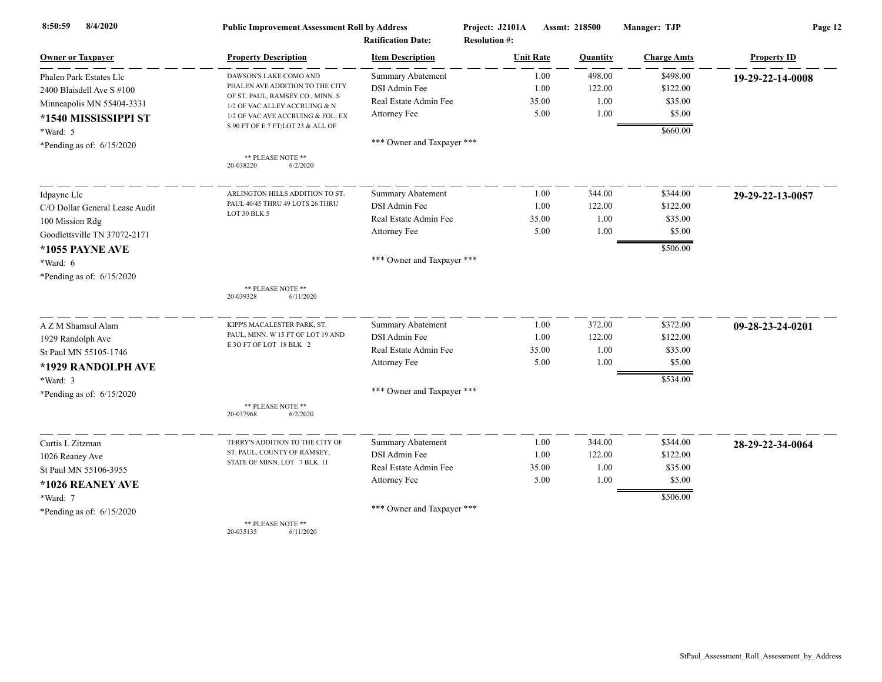| 8/4/2020<br>8:50:59            | <b>Public Improvement Assessment Roll by Address</b><br><b>Ratification Date:</b> |                            | Project: J2101A<br><b>Resolution #:</b> | Assmt: 218500<br>Manager: TJP |                    | Page 12            |  |
|--------------------------------|-----------------------------------------------------------------------------------|----------------------------|-----------------------------------------|-------------------------------|--------------------|--------------------|--|
| <b>Owner or Taxpayer</b>       | <b>Property Description</b>                                                       | <b>Item Description</b>    | <b>Unit Rate</b>                        | Quantity                      | <b>Charge Amts</b> | <b>Property ID</b> |  |
| Phalen Park Estates Llc        | DAWSON'S LAKE COMO AND                                                            | Summary Abatement          | 1.00                                    | 498.00                        | \$498.00           | 19-29-22-14-0008   |  |
| 2400 Blaisdell Ave S #100      | PHALEN AVE ADDITION TO THE CITY                                                   | DSI Admin Fee              | 1.00                                    | 122.00                        | \$122.00           |                    |  |
| Minneapolis MN 55404-3331      | OF ST. PAUL, RAMSEY CO., MINN. S<br>1/2 OF VAC ALLEY ACCRUING & N                 | Real Estate Admin Fee      | 35.00                                   | 1.00                          | \$35.00            |                    |  |
| *1540 MISSISSIPPI ST           | 1/2 OF VAC AVE ACCRUING & FOL; EX                                                 | Attorney Fee               | 5.00                                    | 1.00                          | \$5.00             |                    |  |
| *Ward: 5                       | S 90 FT OF E 7 FT;LOT 23 & ALL OF                                                 |                            |                                         |                               | \$660.00           |                    |  |
| *Pending as of: $6/15/2020$    |                                                                                   | *** Owner and Taxpayer *** |                                         |                               |                    |                    |  |
|                                | ** PLEASE NOTE **<br>20-038220<br>6/2/2020                                        |                            |                                         |                               |                    |                    |  |
| Idpayne Llc                    | ARLINGTON HILLS ADDITION TO ST.                                                   | Summary Abatement          | 1.00                                    | 344.00                        | \$344.00           | 29-29-22-13-0057   |  |
| C/O Dollar General Lease Audit | PAUL 40/45 THRU 49 LOTS 26 THRU                                                   | DSI Admin Fee              | 1.00                                    | 122.00                        | \$122.00           |                    |  |
| 100 Mission Rdg                | LOT 30 BLK 5                                                                      | Real Estate Admin Fee      | 35.00                                   | 1.00                          | \$35.00            |                    |  |
| Goodlettsville TN 37072-2171   |                                                                                   | Attorney Fee               | 5.00                                    | 1.00                          | \$5.00             |                    |  |
| <b>*1055 PAYNE AVE</b>         |                                                                                   |                            |                                         |                               | \$506.00           |                    |  |
| *Ward: 6                       |                                                                                   | *** Owner and Taxpayer *** |                                         |                               |                    |                    |  |
| *Pending as of: $6/15/2020$    |                                                                                   |                            |                                         |                               |                    |                    |  |
|                                | ** PLEASE NOTE **<br>20-039328<br>6/11/2020                                       |                            |                                         |                               |                    |                    |  |
| A Z M Shamsul Alam             | KIPP'S MACALESTER PARK, ST.                                                       | <b>Summary Abatement</b>   | 1.00                                    | 372.00                        | \$372.00           | 09-28-23-24-0201   |  |
| 1929 Randolph Ave              | PAUL, MINN. W 15 FT OF LOT 19 AND                                                 | DSI Admin Fee              | 1.00                                    | 122.00                        | \$122.00           |                    |  |
| St Paul MN 55105-1746          | E 3O FT OF LOT 18 BLK 2                                                           | Real Estate Admin Fee      | 35.00                                   | 1.00                          | \$35.00            |                    |  |
| *1929 RANDOLPH AVE             |                                                                                   | Attorney Fee               | 5.00                                    | 1.00                          | \$5.00             |                    |  |
| *Ward: 3                       |                                                                                   |                            |                                         |                               | \$534.00           |                    |  |
| *Pending as of: $6/15/2020$    |                                                                                   | *** Owner and Taxpayer *** |                                         |                               |                    |                    |  |
|                                | ** PLEASE NOTE **<br>20-037968<br>6/2/2020                                        |                            |                                         |                               |                    |                    |  |
| Curtis L Zitzman               | TERRY'S ADDITION TO THE CITY OF                                                   | Summary Abatement          | 1.00                                    | 344.00                        | \$344.00           | 28-29-22-34-0064   |  |
| 1026 Reaney Ave                | ST. PAUL, COUNTY OF RAMSEY,                                                       | DSI Admin Fee              | 1.00                                    | 122.00                        | \$122.00           |                    |  |
| St Paul MN 55106-3955          | STATE OF MINN. LOT 7 BLK 11                                                       | Real Estate Admin Fee      | 35.00                                   | 1.00                          | \$35.00            |                    |  |
| *1026 REANEY AVE               |                                                                                   | Attorney Fee               | 5.00                                    | 1.00                          | \$5.00             |                    |  |
| *Ward: 7                       |                                                                                   |                            |                                         |                               | \$506.00           |                    |  |
| *Pending as of: $6/15/2020$    |                                                                                   | *** Owner and Taxpayer *** |                                         |                               |                    |                    |  |
|                                | ** PLEASE NOTE **                                                                 |                            |                                         |                               |                    |                    |  |

20-035135 6/11/2020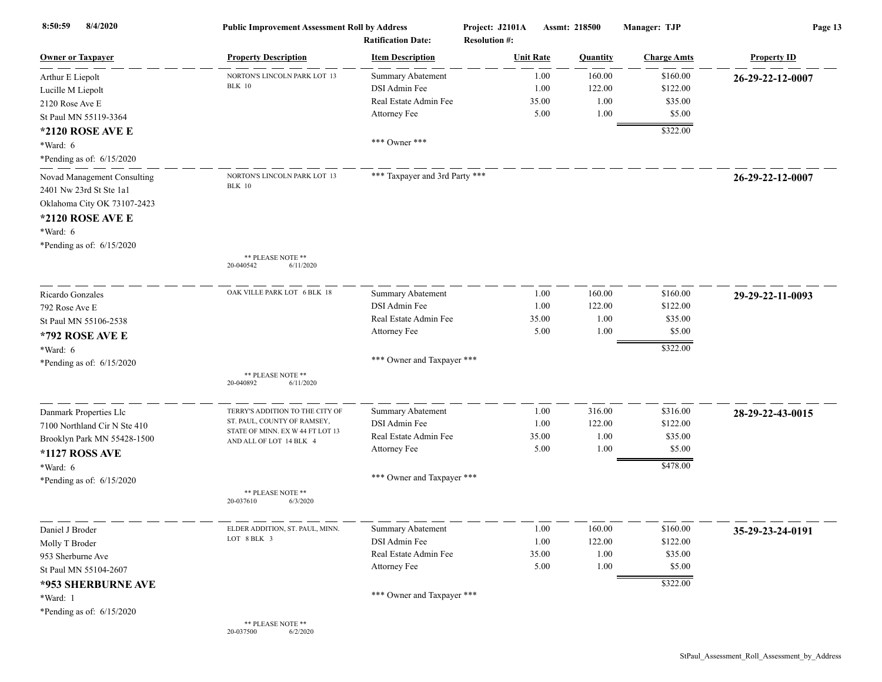| 8/4/2020<br>8:50:59          | <b>Public Improvement Assessment Roll by Address</b><br><b>Ratification Date:</b> |                                | Project: J2101A<br>Assmt: 218500<br><b>Resolution #:</b> |                 | Manager: TJP       | Page 13            |  |
|------------------------------|-----------------------------------------------------------------------------------|--------------------------------|----------------------------------------------------------|-----------------|--------------------|--------------------|--|
| <b>Owner or Taxpayer</b>     | <b>Property Description</b>                                                       | <b>Item Description</b>        | <b>Unit Rate</b>                                         | <b>Quantity</b> | <b>Charge Amts</b> | <b>Property ID</b> |  |
| Arthur E Liepolt             | NORTON'S LINCOLN PARK LOT 13                                                      | <b>Summary Abatement</b>       | 1.00                                                     | 160.00          | \$160.00           | 26-29-22-12-0007   |  |
| Lucille M Liepolt            | <b>BLK</b> 10                                                                     | DSI Admin Fee                  | 1.00                                                     | 122.00          | \$122.00           |                    |  |
| 2120 Rose Ave E              |                                                                                   | Real Estate Admin Fee          | 35.00                                                    | 1.00            | \$35.00            |                    |  |
| St Paul MN 55119-3364        |                                                                                   | Attorney Fee                   | 5.00                                                     | 1.00            | \$5.00             |                    |  |
| *2120 ROSE AVE E             |                                                                                   |                                |                                                          |                 | \$322.00           |                    |  |
| *Ward: 6                     |                                                                                   | *** Owner ***                  |                                                          |                 |                    |                    |  |
| *Pending as of: $6/15/2020$  |                                                                                   |                                |                                                          |                 |                    |                    |  |
| Novad Management Consulting  | NORTON'S LINCOLN PARK LOT 13                                                      | *** Taxpayer and 3rd Party *** |                                                          |                 |                    | 26-29-22-12-0007   |  |
| 2401 Nw 23rd St Ste 1a1      | <b>BLK</b> 10                                                                     |                                |                                                          |                 |                    |                    |  |
| Oklahoma City OK 73107-2423  |                                                                                   |                                |                                                          |                 |                    |                    |  |
| *2120 ROSE AVE E             |                                                                                   |                                |                                                          |                 |                    |                    |  |
| *Ward: 6                     |                                                                                   |                                |                                                          |                 |                    |                    |  |
| *Pending as of: $6/15/2020$  |                                                                                   |                                |                                                          |                 |                    |                    |  |
|                              | ** PLEASE NOTE **                                                                 |                                |                                                          |                 |                    |                    |  |
|                              | 20-040542<br>6/11/2020                                                            |                                |                                                          |                 |                    |                    |  |
| Ricardo Gonzales             | OAK VILLE PARK LOT 6 BLK 18                                                       | Summary Abatement              | 1.00                                                     | 160.00          | \$160.00           | 29-29-22-11-0093   |  |
| 792 Rose Ave E               |                                                                                   | DSI Admin Fee                  | 1.00                                                     | 122.00          | \$122.00           |                    |  |
| St Paul MN 55106-2538        |                                                                                   | Real Estate Admin Fee          | 35.00                                                    | 1.00            | \$35.00            |                    |  |
| *792 ROSE AVE E              |                                                                                   | Attorney Fee                   | 5.00                                                     | 1.00            | \$5.00             |                    |  |
| *Ward: 6                     |                                                                                   |                                |                                                          |                 | \$322.00           |                    |  |
| *Pending as of: $6/15/2020$  |                                                                                   | *** Owner and Taxpayer ***     |                                                          |                 |                    |                    |  |
|                              | ** PLEASE NOTE **<br>20-040892<br>6/11/2020                                       |                                |                                                          |                 |                    |                    |  |
|                              |                                                                                   |                                |                                                          |                 |                    |                    |  |
| Danmark Properties Llc       | TERRY'S ADDITION TO THE CITY OF                                                   | Summary Abatement              | 1.00                                                     | 316.00          | \$316.00           | 28-29-22-43-0015   |  |
| 7100 Northland Cir N Ste 410 | ST. PAUL, COUNTY OF RAMSEY,<br>STATE OF MINN. EX W 44 FT LOT 13                   | DSI Admin Fee                  | 1.00                                                     | 122.00          | \$122.00           |                    |  |
| Brooklyn Park MN 55428-1500  | AND ALL OF LOT 14 BLK 4                                                           | Real Estate Admin Fee          | 35.00                                                    | 1.00            | \$35.00            |                    |  |
| *1127 ROSS AVE               |                                                                                   | Attorney Fee                   | 5.00                                                     | 1.00            | \$5.00             |                    |  |
| $*Ward: 6$                   |                                                                                   |                                |                                                          |                 | \$478.00           |                    |  |
| *Pending as of: $6/15/2020$  |                                                                                   | *** Owner and Taxpayer ***     |                                                          |                 |                    |                    |  |
|                              | ** PLEASE NOTE **<br>20-037610<br>6/3/2020                                        |                                |                                                          |                 |                    |                    |  |
|                              |                                                                                   |                                |                                                          |                 |                    |                    |  |
| Daniel J Broder              | ELDER ADDITION, ST. PAUL, MINN.                                                   | <b>Summary Abatement</b>       | 1.00                                                     | 160.00          | \$160.00           | 35-29-23-24-0191   |  |
| Molly T Broder               | LOT 8 BLK 3                                                                       | DSI Admin Fee                  | 1.00                                                     | 122.00          | \$122.00           |                    |  |
| 953 Sherburne Ave            |                                                                                   | Real Estate Admin Fee          | 35.00                                                    | 1.00            | \$35.00            |                    |  |
| St Paul MN 55104-2607        |                                                                                   | Attorney Fee                   | 5.00                                                     | 1.00            | \$5.00             |                    |  |
| *953 SHERBURNE AVE           |                                                                                   |                                |                                                          |                 | \$322.00           |                    |  |
| *Ward: 1                     |                                                                                   | *** Owner and Taxpayer ***     |                                                          |                 |                    |                    |  |
| *Pending as of: 6/15/2020    |                                                                                   |                                |                                                          |                 |                    |                    |  |
|                              | ** PLEASE NOTE **<br>6/2/2020<br>20-037500                                        |                                |                                                          |                 |                    |                    |  |

StPaul\_Assessment\_Roll\_Assessment\_by\_Address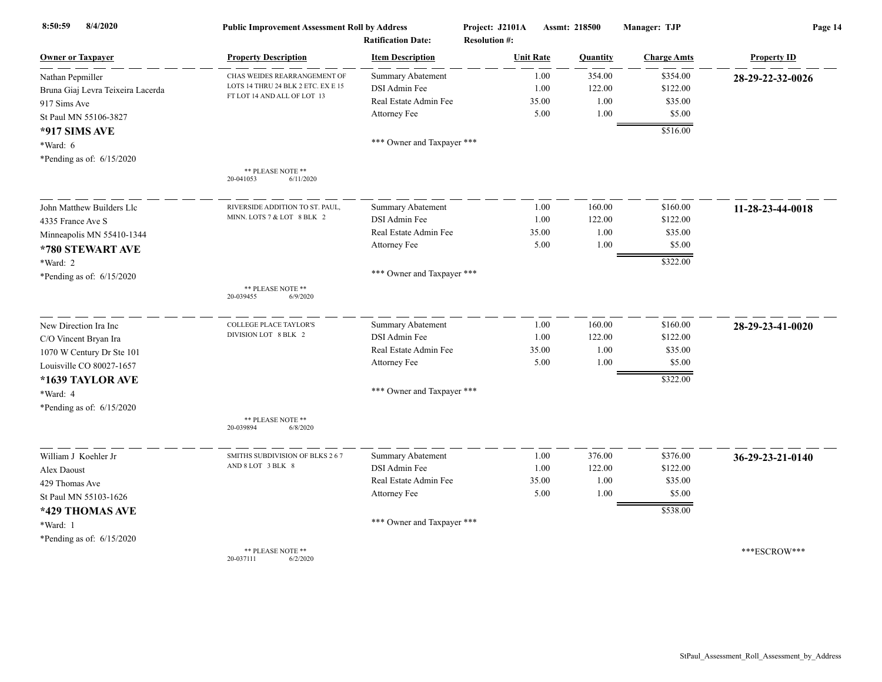| 8:50:59<br>8/4/2020               | <b>Public Improvement Assessment Roll by Address</b> |                                                      | Project: J2101A<br>Assmt: 218500<br><b>Resolution #:</b> |       |          | Manager: TJP       | Page 14            |  |
|-----------------------------------|------------------------------------------------------|------------------------------------------------------|----------------------------------------------------------|-------|----------|--------------------|--------------------|--|
| <b>Owner or Taxpayer</b>          | <b>Property Description</b>                          | <b>Ratification Date:</b><br><b>Item Description</b> | <b>Unit Rate</b>                                         |       | Quantity | <b>Charge Amts</b> | <b>Property ID</b> |  |
| Nathan Pepmiller                  | CHAS WEIDES REARRANGEMENT OF                         | <b>Summary Abatement</b>                             |                                                          | 1.00  | 354.00   | \$354.00           | 28-29-22-32-0026   |  |
| Bruna Giaj Levra Teixeira Lacerda | LOTS 14 THRU 24 BLK 2 ETC. EX E 15                   | DSI Admin Fee                                        |                                                          | 1.00  | 122.00   | \$122.00           |                    |  |
| 917 Sims Ave                      | FT LOT 14 AND ALL OF LOT 13                          | Real Estate Admin Fee                                |                                                          | 35.00 | 1.00     | \$35.00            |                    |  |
| St Paul MN 55106-3827             |                                                      | Attorney Fee                                         |                                                          | 5.00  | 1.00     | \$5.00             |                    |  |
| *917 SIMS AVE                     |                                                      |                                                      |                                                          |       |          | \$516.00           |                    |  |
| *Ward: 6                          |                                                      | *** Owner and Taxpayer ***                           |                                                          |       |          |                    |                    |  |
| *Pending as of: 6/15/2020         |                                                      |                                                      |                                                          |       |          |                    |                    |  |
|                                   | ** PLEASE NOTE **<br>6/11/2020<br>20-041053          |                                                      |                                                          |       |          |                    |                    |  |
| John Matthew Builders Llc         | RIVERSIDE ADDITION TO ST. PAUL,                      | <b>Summary Abatement</b>                             |                                                          | 1.00  | 160.00   | \$160.00           | 11-28-23-44-0018   |  |
| 4335 France Ave S                 | MINN. LOTS 7 & LOT 8 BLK 2                           | DSI Admin Fee                                        |                                                          | 1.00  | 122.00   | \$122.00           |                    |  |
| Minneapolis MN 55410-1344         |                                                      | Real Estate Admin Fee                                |                                                          | 35.00 | 1.00     | \$35.00            |                    |  |
| *780 STEWART AVE                  |                                                      | Attorney Fee                                         |                                                          | 5.00  | 1.00     | \$5.00             |                    |  |
| *Ward: 2                          |                                                      |                                                      |                                                          |       |          | \$322.00           |                    |  |
| *Pending as of: $6/15/2020$       |                                                      | *** Owner and Taxpayer ***                           |                                                          |       |          |                    |                    |  |
|                                   | ** PLEASE NOTE **<br>20-039455<br>6/9/2020           |                                                      |                                                          |       |          |                    |                    |  |
| New Direction Ira Inc             | <b>COLLEGE PLACE TAYLOR'S</b>                        | <b>Summary Abatement</b>                             |                                                          | 1.00  | 160.00   | \$160.00           | 28-29-23-41-0020   |  |
| C/O Vincent Bryan Ira             | DIVISION LOT 8 BLK 2                                 | DSI Admin Fee                                        |                                                          | 1.00  | 122.00   | \$122.00           |                    |  |
| 1070 W Century Dr Ste 101         |                                                      | Real Estate Admin Fee                                |                                                          | 35.00 | 1.00     | \$35.00            |                    |  |
| Louisville CO 80027-1657          |                                                      | Attorney Fee                                         |                                                          | 5.00  | 1.00     | \$5.00             |                    |  |
| *1639 TAYLOR AVE                  |                                                      |                                                      |                                                          |       |          | \$322.00           |                    |  |
| *Ward: 4                          |                                                      | *** Owner and Taxpayer ***                           |                                                          |       |          |                    |                    |  |
| *Pending as of: 6/15/2020         |                                                      |                                                      |                                                          |       |          |                    |                    |  |
|                                   | ** PLEASE NOTE **<br>20-039894<br>6/8/2020           |                                                      |                                                          |       |          |                    |                    |  |
| William J Koehler Jr              | SMITHS SUBDIVISION OF BLKS 2 6 7                     | <b>Summary Abatement</b>                             |                                                          | 1.00  | 376.00   | \$376.00           | 36-29-23-21-0140   |  |
| Alex Daoust                       | AND 8 LOT 3 BLK 8                                    | DSI Admin Fee                                        |                                                          | 1.00  | 122.00   | \$122.00           |                    |  |
| 429 Thomas Ave                    |                                                      | Real Estate Admin Fee                                |                                                          | 35.00 | 1.00     | \$35.00            |                    |  |
| St Paul MN 55103-1626             |                                                      | Attorney Fee                                         |                                                          | 5.00  | 1.00     | \$5.00             |                    |  |
| *429 THOMAS AVE                   |                                                      |                                                      |                                                          |       |          | \$538.00           |                    |  |
| *Ward: 1                          |                                                      | *** Owner and Taxpayer ***                           |                                                          |       |          |                    |                    |  |
| *Pending as of: $6/15/2020$       |                                                      |                                                      |                                                          |       |          |                    |                    |  |
|                                   | ** PLEASE NOTE **<br>20-037111<br>6/2/2020           |                                                      |                                                          |       |          |                    | ***ESCROW***       |  |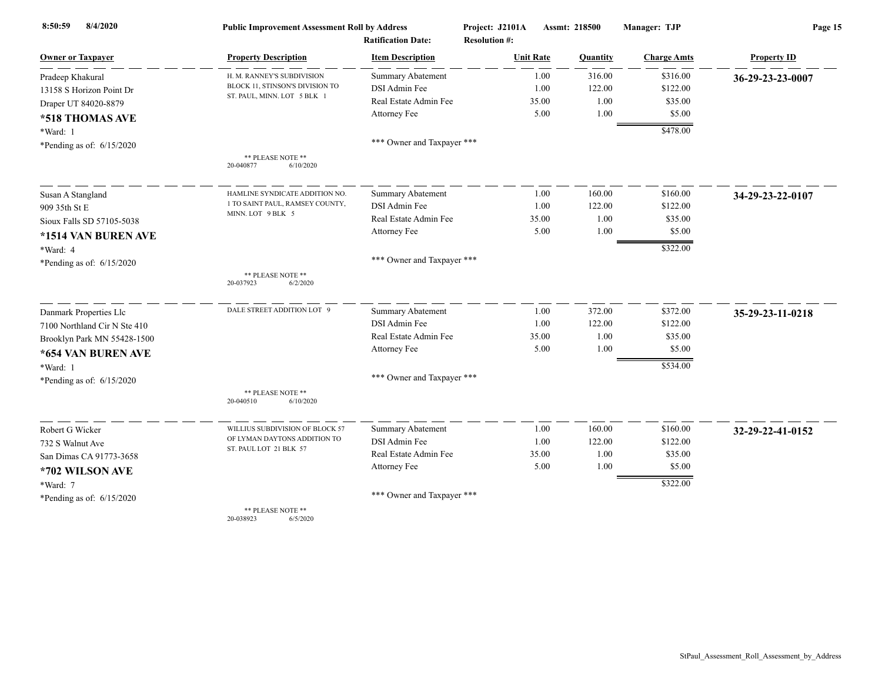| 8/4/2020<br>8:50:59          | <b>Public Improvement Assessment Roll by Address</b><br><b>Ratification Date:</b> |                            | Project: J2101A      | Assmt: 218500 | Manager: TJP       | Page 15            |
|------------------------------|-----------------------------------------------------------------------------------|----------------------------|----------------------|---------------|--------------------|--------------------|
|                              |                                                                                   |                            | <b>Resolution #:</b> |               |                    |                    |
| <b>Owner or Taxpayer</b>     | <b>Property Description</b>                                                       | <b>Item Description</b>    | <b>Unit Rate</b>     | Quantity      | <b>Charge Amts</b> | <b>Property ID</b> |
| Pradeep Khakural             | H. M. RANNEY'S SUBDIVISION                                                        | <b>Summary Abatement</b>   | 1.00                 | 316.00        | \$316.00           | 36-29-23-23-0007   |
| 13158 S Horizon Point Dr     | BLOCK 11, STINSON'S DIVISION TO<br>ST. PAUL, MINN. LOT 5 BLK 1                    | DSI Admin Fee              | 1.00                 | 122.00        | \$122.00           |                    |
| Draper UT 84020-8879         |                                                                                   | Real Estate Admin Fee      | 35.00                | 1.00          | \$35.00            |                    |
| *518 THOMAS AVE              |                                                                                   | Attorney Fee               | 5.00                 | 1.00          | \$5.00             |                    |
| *Ward: 1                     |                                                                                   |                            |                      |               | \$478.00           |                    |
| *Pending as of: $6/15/2020$  |                                                                                   | *** Owner and Taxpayer *** |                      |               |                    |                    |
|                              | ** PLEASE NOTE **<br>20-040877<br>6/10/2020                                       |                            |                      |               |                    |                    |
| Susan A Stangland            | HAMLINE SYNDICATE ADDITION NO.                                                    | Summary Abatement          | 1.00                 | 160.00        | \$160.00           | 34-29-23-22-0107   |
| 909 35th St E                | 1 TO SAINT PAUL, RAMSEY COUNTY,                                                   | DSI Admin Fee              | 1.00                 | 122.00        | \$122.00           |                    |
| Sioux Falls SD 57105-5038    | MINN. LOT 9 BLK 5                                                                 | Real Estate Admin Fee      | 35.00                | 1.00          | \$35.00            |                    |
| *1514 VAN BUREN AVE          |                                                                                   | Attorney Fee               | 5.00                 | 1.00          | \$5.00             |                    |
| *Ward: 4                     |                                                                                   |                            |                      |               | \$322.00           |                    |
| *Pending as of: $6/15/2020$  |                                                                                   | *** Owner and Taxpayer *** |                      |               |                    |                    |
|                              | ** PLEASE NOTE **<br>20-037923<br>6/2/2020                                        |                            |                      |               |                    |                    |
| Danmark Properties Llc       | DALE STREET ADDITION LOT 9                                                        | Summary Abatement          | 1.00                 | 372.00        | \$372.00           | 35-29-23-11-0218   |
| 7100 Northland Cir N Ste 410 |                                                                                   | DSI Admin Fee              | 1.00                 | 122.00        | \$122.00           |                    |
| Brooklyn Park MN 55428-1500  |                                                                                   | Real Estate Admin Fee      | 35.00                | 1.00          | \$35.00            |                    |
| *654 VAN BUREN AVE           |                                                                                   | Attorney Fee               | 5.00                 | 1.00          | \$5.00             |                    |
| *Ward: 1                     |                                                                                   |                            |                      |               | \$534.00           |                    |
| *Pending as of: $6/15/2020$  |                                                                                   | *** Owner and Taxpayer *** |                      |               |                    |                    |
|                              | ** PLEASE NOTE **<br>6/10/2020<br>20-040510                                       |                            |                      |               |                    |                    |
| Robert G Wicker              | WILLIUS SUBDIVISION OF BLOCK 57                                                   | Summary Abatement          | 1.00                 | 160.00        | \$160.00           | 32-29-22-41-0152   |
| 732 S Walnut Ave             | OF LYMAN DAYTONS ADDITION TO                                                      | DSI Admin Fee              | 1.00                 | 122.00        | \$122.00           |                    |
| San Dimas CA 91773-3658      | ST. PAUL LOT 21 BLK 57                                                            | Real Estate Admin Fee      | 35.00                | 1.00          | \$35.00            |                    |
| *702 WILSON AVE              |                                                                                   | Attorney Fee               | 5.00                 | 1.00          | \$5.00             |                    |
| $*Ward: 7$                   |                                                                                   |                            |                      |               | \$322.00           |                    |
| *Pending as of: $6/15/2020$  |                                                                                   | *** Owner and Taxpayer *** |                      |               |                    |                    |
|                              | ** PLEASE NOTE **<br>20-038923<br>6/5/2020                                        |                            |                      |               |                    |                    |